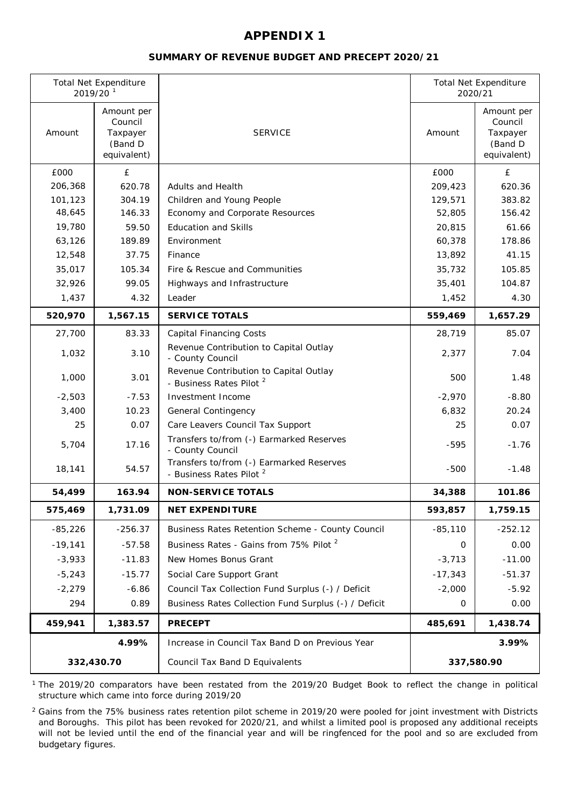### **SUMMARY OF REVENUE BUDGET AND PRECEPT 2020/21**

| <b>Total Net Expenditure</b><br>2019/20 <sup>1</sup> |                                                             |                                                                                 |            | <b>Total Net Expenditure</b><br>2020/21                     |  |
|------------------------------------------------------|-------------------------------------------------------------|---------------------------------------------------------------------------------|------------|-------------------------------------------------------------|--|
| Amount                                               | Amount per<br>Council<br>Taxpayer<br>(Band D<br>equivalent) | <b>SERVICE</b>                                                                  | Amount     | Amount per<br>Council<br>Taxpayer<br>(Band D<br>equivalent) |  |
| £000                                                 | £                                                           |                                                                                 | £000       | £                                                           |  |
| 206,368                                              | 620.78                                                      | <b>Adults and Health</b>                                                        | 209,423    | 620.36                                                      |  |
| 101,123                                              | 304.19                                                      | Children and Young People                                                       | 129,571    | 383.82                                                      |  |
| 48,645                                               | 146.33                                                      | Economy and Corporate Resources                                                 | 52,805     | 156.42                                                      |  |
| 19,780                                               | 59.50                                                       | <b>Education and Skills</b>                                                     | 20,815     | 61.66                                                       |  |
| 63,126                                               | 189.89                                                      | Environment                                                                     | 60,378     | 178.86                                                      |  |
| 12,548                                               | 37.75                                                       | Finance                                                                         | 13,892     | 41.15                                                       |  |
| 35,017                                               | 105.34                                                      | Fire & Rescue and Communities                                                   | 35,732     | 105.85                                                      |  |
| 32,926                                               | 99.05                                                       | Highways and Infrastructure                                                     | 35,401     | 104.87                                                      |  |
| 1,437                                                | 4.32                                                        | Leader                                                                          | 1,452      | 4.30                                                        |  |
| 520,970                                              | 1,567.15                                                    | <b>SERVICE TOTALS</b>                                                           | 559,469    | 1,657.29                                                    |  |
| 27,700                                               | 83.33                                                       | <b>Capital Financing Costs</b>                                                  | 28,719     | 85.07                                                       |  |
| 1,032                                                | 3.10                                                        | Revenue Contribution to Capital Outlay<br>- County Council                      | 2,377      | 7.04                                                        |  |
| 1,000                                                | 3.01                                                        | Revenue Contribution to Capital Outlay<br>- Business Rates Pilot <sup>2</sup>   | 500        | 1.48                                                        |  |
| $-2,503$                                             | $-7.53$                                                     | Investment Income                                                               | $-2,970$   | $-8.80$                                                     |  |
| 3,400                                                | 10.23                                                       | <b>General Contingency</b>                                                      | 6,832      | 20.24                                                       |  |
| 25                                                   | 0.07                                                        | Care Leavers Council Tax Support                                                | 25         | 0.07                                                        |  |
| 5,704                                                | 17.16                                                       | Transfers to/from (-) Earmarked Reserves<br>- County Council                    | $-595$     | $-1.76$                                                     |  |
| 18,141                                               | 54.57                                                       | Transfers to/from (-) Earmarked Reserves<br>- Business Rates Pilot <sup>2</sup> | $-500$     | $-1.48$                                                     |  |
| 54,499                                               | 163.94                                                      | <b>NON-SERVICE TOTALS</b>                                                       | 34,388     | 101.86                                                      |  |
| 575,469                                              | 1,731.09                                                    | <b>NET EXPENDITURE</b>                                                          | 593,857    | 1,759.15                                                    |  |
| -85,226                                              | $-256.37$                                                   | Business Rates Retention Scheme - County Council                                | $-85,110$  | $-252.12$                                                   |  |
| $-19,141$                                            | $-57.58$                                                    | Business Rates - Gains from 75% Pilot <sup>2</sup>                              | 0          | 0.00                                                        |  |
| $-3,933$                                             | $-11.83$                                                    | New Homes Bonus Grant                                                           | $-3,713$   | $-11.00$                                                    |  |
| $-5,243$                                             | $-15.77$                                                    | Social Care Support Grant                                                       | $-17,343$  | $-51.37$                                                    |  |
| $-2,279$                                             | $-6.86$                                                     | Council Tax Collection Fund Surplus (-) / Deficit                               | $-2,000$   | $-5.92$                                                     |  |
| 294                                                  | 0.89                                                        | Business Rates Collection Fund Surplus (-) / Deficit                            | 0          | 0.00                                                        |  |
| 459,941                                              | 1,383.57                                                    | <b>PRECEPT</b>                                                                  | 485,691    | 1,438.74                                                    |  |
|                                                      | 4.99%                                                       | Increase in Council Tax Band D on Previous Year                                 |            | 3.99%                                                       |  |
| 332,430.70                                           |                                                             | Council Tax Band D Equivalents                                                  | 337,580.90 |                                                             |  |

1 The 2019/20 comparators have been restated from the 2019/20 Budget Book to reflect the change in political structure which came into force during 2019/20

 $^2$  Gains from the 75% business rates retention pilot scheme in 2019/20 were pooled for joint investment with Districts and Boroughs. This pilot has been revoked for 2020/21, and whilst a limited pool is proposed any additional receipts will not be levied until the end of the financial year and will be ringfenced for the pool and so are excluded from budgetary figures.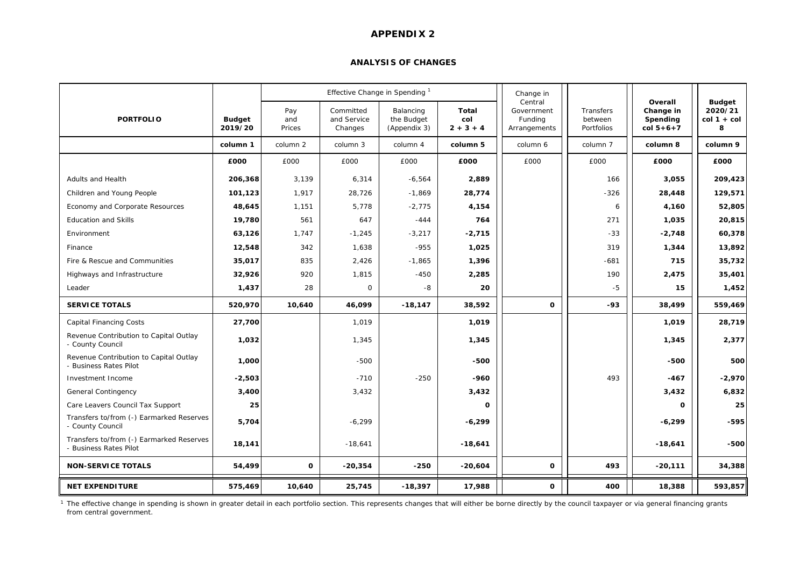#### **ANALYSIS OF CHANGES**

|                                                                    |                          |                      | Effective Change in Spending        |                                         |                             | Change in                                        |                                    |                                                     |                                              |
|--------------------------------------------------------------------|--------------------------|----------------------|-------------------------------------|-----------------------------------------|-----------------------------|--------------------------------------------------|------------------------------------|-----------------------------------------------------|----------------------------------------------|
| <b>PORTFOLIO</b>                                                   | <b>Budget</b><br>2019/20 | Pay<br>and<br>Prices | Committed<br>and Service<br>Changes | Balancing<br>the Budget<br>(Appendix 3) | Total<br>col<br>$2 + 3 + 4$ | Central<br>Government<br>Funding<br>Arrangements | Transfers<br>between<br>Portfolios | Overall<br>Change in<br>Spending<br>$col 5 + 6 + 7$ | <b>Budget</b><br>2020/21<br>col 1 + col<br>8 |
|                                                                    | column 1                 | column 2             | column 3                            | column 4                                | column 5                    | column 6                                         | column 7                           | column 8                                            | column 9                                     |
|                                                                    | £000                     | £000                 | £000                                | £000                                    | £000                        | £000                                             | £000                               | £000                                                | £000                                         |
| Adults and Health                                                  | 206,368                  | 3,139                | 6,314                               | $-6,564$                                | 2,889                       |                                                  | 166                                | 3,055                                               | 209,423                                      |
| Children and Young People                                          | 101,123                  | 1,917                | 28,726                              | $-1,869$                                | 28,774                      |                                                  | $-326$                             | 28,448                                              | 129,571                                      |
| Economy and Corporate Resources                                    | 48,645                   | 1,151                | 5,778                               | $-2,775$                                | 4,154                       |                                                  | 6                                  | 4,160                                               | 52,805                                       |
| <b>Education and Skills</b>                                        | 19,780                   | 561                  | 647                                 | $-444$                                  | 764                         |                                                  | 271                                | 1,035                                               | 20,815                                       |
| Environment                                                        | 63,126                   | 1,747                | $-1,245$                            | $-3,217$                                | $-2,715$                    |                                                  | $-33$                              | $-2,748$                                            | 60,378                                       |
| Finance                                                            | 12,548                   | 342                  | 1,638                               | $-955$                                  | 1,025                       |                                                  | 319                                | 1,344                                               | 13,892                                       |
| Fire & Rescue and Communities                                      | 35,017                   | 835                  | 2,426                               | $-1,865$                                | 1,396                       |                                                  | $-681$                             | 715                                                 | 35,732                                       |
| Highways and Infrastructure                                        | 32,926                   | 920                  | 1,815                               | $-450$                                  | 2,285                       |                                                  | 190                                | 2,475                                               | 35,401                                       |
| Leader                                                             | 1,437                    | 28                   | $\mathsf{O}$                        | -8                                      | 20                          |                                                  | $-5$                               | 15                                                  | 1,452                                        |
| <b>SERVICE TOTALS</b>                                              | 520,970                  | 10,640               | 46,099                              | $-18, 147$                              | 38,592                      | O                                                | $-93$                              | 38,499                                              | 559,469                                      |
| <b>Capital Financing Costs</b>                                     | 27,700                   |                      | 1,019                               |                                         | 1,019                       |                                                  |                                    | 1,019                                               | 28,719                                       |
| Revenue Contribution to Capital Outlay<br>- County Council         | 1,032                    |                      | 1,345                               |                                         | 1,345                       |                                                  |                                    | 1,345                                               | 2,377                                        |
| Revenue Contribution to Capital Outlay<br>- Business Rates Pilot   | 1,000                    |                      | $-500$                              |                                         | -500                        |                                                  |                                    | -500                                                | 500                                          |
| Investment Income                                                  | $-2,503$                 |                      | $-710$                              | $-250$                                  | -960                        |                                                  | 493                                | -467                                                | $-2,970$                                     |
| General Contingency                                                | 3,400                    |                      | 3,432                               |                                         | 3,432                       |                                                  |                                    | 3,432                                               | 6,832                                        |
| Care Leavers Council Tax Support                                   | 25                       |                      |                                     |                                         | 0                           |                                                  |                                    | $\Omega$                                            | 25                                           |
| Transfers to/from (-) Earmarked Reserves<br>- County Council       | 5,704                    |                      | $-6,299$                            |                                         | $-6,299$                    |                                                  |                                    | $-6,299$                                            | -595                                         |
| Transfers to/from (-) Earmarked Reserves<br>- Business Rates Pilot | 18,141                   |                      | $-18,641$                           |                                         | $-18,641$                   |                                                  |                                    | $-18,641$                                           | -500                                         |
| <b>NON-SERVICE TOTALS</b>                                          | 54,499                   | 0                    | $-20,354$                           | $-250$                                  | $-20,604$                   | o                                                | 493                                | $-20,111$                                           | 34,388                                       |
| <b>NET EXPENDITURE</b>                                             | 575,469                  | 10,640               | 25,745                              | $-18,397$                               | 17,988                      | 0                                                | 400                                | 18,388                                              | 593,857                                      |

<sup>1</sup> The effective change in spending is shown in greater detail in each portfolio section. This represents changes that will either be borne directly by the council taxpayer or via general financing grants from central government.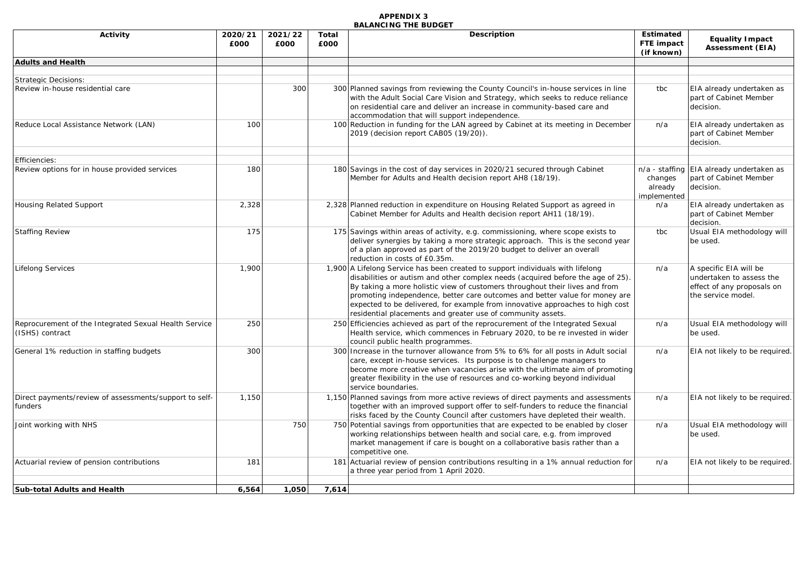| Activity                                                                 | 2020/21<br>£000 | 2021/22<br>£000 | Total<br>£000 | <b>Description</b>                                                                                                                                                                                                                                                                                                                                                                                                                                                              |                                   | <b>Equality Impact</b><br><b>Assessment (EIA)</b>                                                      |
|--------------------------------------------------------------------------|-----------------|-----------------|---------------|---------------------------------------------------------------------------------------------------------------------------------------------------------------------------------------------------------------------------------------------------------------------------------------------------------------------------------------------------------------------------------------------------------------------------------------------------------------------------------|-----------------------------------|--------------------------------------------------------------------------------------------------------|
| <b>Adults and Health</b>                                                 |                 |                 |               |                                                                                                                                                                                                                                                                                                                                                                                                                                                                                 |                                   |                                                                                                        |
| <b>Strategic Decisions:</b>                                              |                 |                 |               |                                                                                                                                                                                                                                                                                                                                                                                                                                                                                 |                                   |                                                                                                        |
| Review in-house residential care                                         |                 | 300             |               | 300 Planned savings from reviewing the County Council's in-house services in line<br>with the Adult Social Care Vision and Strategy, which seeks to reduce reliance<br>on residential care and deliver an increase in community-based care and<br>accommodation that will support independence.                                                                                                                                                                                 | tbc                               | EIA already undertaken as<br>part of Cabinet Member<br>decision.                                       |
| Reduce Local Assistance Network (LAN)                                    | 100             |                 |               | 100 Reduction in funding for the LAN agreed by Cabinet at its meeting in December<br>2019 (decision report CAB05 (19/20)).                                                                                                                                                                                                                                                                                                                                                      | n/a                               | EIA already undertaken as<br>part of Cabinet Member<br>decision.                                       |
| Efficiencies:                                                            |                 |                 |               |                                                                                                                                                                                                                                                                                                                                                                                                                                                                                 |                                   |                                                                                                        |
| Review options for in house provided services                            | 180             |                 |               | 180 Savings in the cost of day services in 2020/21 secured through Cabinet<br>Member for Adults and Health decision report AH8 (18/19).                                                                                                                                                                                                                                                                                                                                         | changes<br>already<br>implemented | n/a - staffing EIA already undertaken as<br>part of Cabinet Member<br>decision.                        |
| <b>Housing Related Support</b>                                           | 2,328           |                 |               | 2,328 Planned reduction in expenditure on Housing Related Support as agreed in<br>Cabinet Member for Adults and Health decision report AH11 (18/19).                                                                                                                                                                                                                                                                                                                            | n/a                               | EIA already undertaken as<br>part of Cabinet Member<br>decision.                                       |
| <b>Staffing Review</b>                                                   | 175             |                 |               | 175 Savings within areas of activity, e.g. commissioning, where scope exists to<br>deliver synergies by taking a more strategic approach. This is the second year<br>of a plan approved as part of the 2019/20 budget to deliver an overall<br>reduction in costs of £0.35m.                                                                                                                                                                                                    | tbc                               | Usual EIA methodology will<br>be used.                                                                 |
| <b>Lifelong Services</b>                                                 | 1,900           |                 |               | 1,900 A Lifelong Service has been created to support individuals with lifelong<br>disabilities or autism and other complex needs (acquired before the age of 25).<br>By taking a more holistic view of customers throughout their lives and from<br>promoting independence, better care outcomes and better value for money are<br>expected to be delivered, for example from innovative approaches to high cost<br>residential placements and greater use of community assets. | n/a                               | A specific EIA will be<br>undertaken to assess the<br>effect of any proposals on<br>the service model. |
| Reprocurement of the Integrated Sexual Health Service<br>(ISHS) contract | 250             |                 |               | 250 Efficiencies achieved as part of the reprocurement of the Integrated Sexual<br>Health service, which commences in February 2020, to be re invested in wider<br>council public health programmes.                                                                                                                                                                                                                                                                            | n/a                               | Usual EIA methodology will<br>be used.                                                                 |
| General 1% reduction in staffing budgets                                 | 300             |                 |               | 300 Increase in the turnover allowance from 5% to 6% for all posts in Adult social<br>care, except in-house services. Its purpose is to challenge managers to<br>become more creative when vacancies arise with the ultimate aim of promoting<br>greater flexibility in the use of resources and co-working beyond individual<br>service boundaries.                                                                                                                            | n/a                               | EIA not likely to be required.                                                                         |
| Direct payments/review of assessments/support to self-<br>funders        | 1,150           |                 |               | 1,150 Planned savings from more active reviews of direct payments and assessments<br>together with an improved support offer to self-funders to reduce the financial<br>risks faced by the County Council after customers have depleted their wealth.                                                                                                                                                                                                                           | n/a                               | EIA not likely to be required.                                                                         |
| Joint working with NHS                                                   |                 | 750             |               | 750 Potential savings from opportunities that are expected to be enabled by closer<br>working relationships between health and social care, e.g. from improved<br>market management if care is bought on a collaborative basis rather than a<br>competitive one.                                                                                                                                                                                                                | n/a                               | Usual EIA methodology will<br>be used.                                                                 |
| Actuarial review of pension contributions                                | 181             |                 | 181           | Actuarial review of pension contributions resulting in a 1% annual reduction for<br>a three year period from 1 April 2020.                                                                                                                                                                                                                                                                                                                                                      | n/a                               | EIA not likely to be required.                                                                         |
| <b>Sub-total Adults and Health</b>                                       | 6.564           | 1,050           | 7.614         |                                                                                                                                                                                                                                                                                                                                                                                                                                                                                 |                                   |                                                                                                        |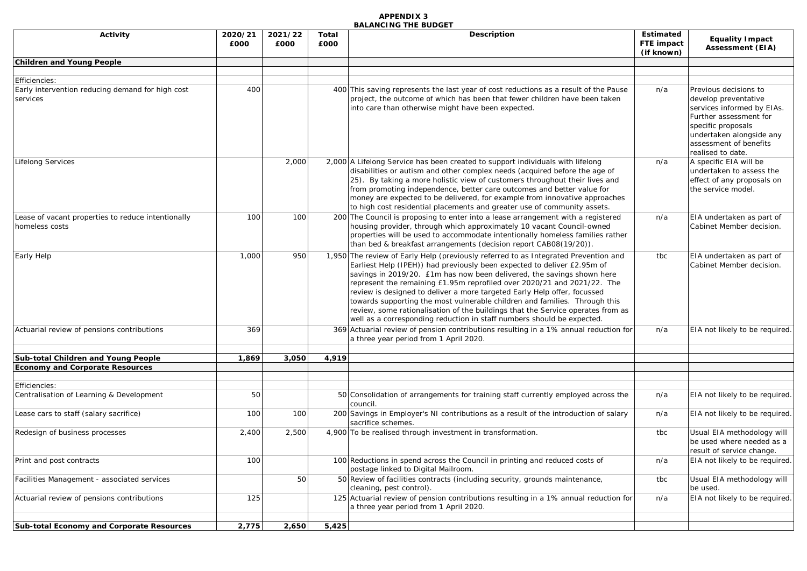| Activity                                                                      | 2020/21<br>£000 | 2021/22<br>£000 | Total<br>£000 | Description                                                                                                                                                                                                                                                                                                                                                                                                                                                                                                                                                                                                                                | <b>Estimated</b><br>FTE impact<br>(if known) | <b>Equality Impact</b><br><b>Assessment (EIA)</b>                                                                                                                                                      |
|-------------------------------------------------------------------------------|-----------------|-----------------|---------------|--------------------------------------------------------------------------------------------------------------------------------------------------------------------------------------------------------------------------------------------------------------------------------------------------------------------------------------------------------------------------------------------------------------------------------------------------------------------------------------------------------------------------------------------------------------------------------------------------------------------------------------------|----------------------------------------------|--------------------------------------------------------------------------------------------------------------------------------------------------------------------------------------------------------|
| <b>Children and Young People</b>                                              |                 |                 |               |                                                                                                                                                                                                                                                                                                                                                                                                                                                                                                                                                                                                                                            |                                              |                                                                                                                                                                                                        |
|                                                                               |                 |                 |               |                                                                                                                                                                                                                                                                                                                                                                                                                                                                                                                                                                                                                                            |                                              |                                                                                                                                                                                                        |
| Efficiencies:<br>Early intervention reducing demand for high cost<br>services | 400             |                 |               | 400 This saving represents the last year of cost reductions as a result of the Pause<br>project, the outcome of which has been that fewer children have been taken<br>into care than otherwise might have been expected.                                                                                                                                                                                                                                                                                                                                                                                                                   | n/a                                          | Previous decisions to<br>develop preventative<br>services informed by EIAs.<br>Further assessment for<br>specific proposals<br>undertaken alongside any<br>assessment of benefits<br>realised to date. |
| <b>Lifelong Services</b>                                                      |                 | 2,000           |               | 2,000 A Lifelong Service has been created to support individuals with lifelong<br>disabilities or autism and other complex needs (acquired before the age of<br>25). By taking a more holistic view of customers throughout their lives and<br>from promoting independence, better care outcomes and better value for<br>money are expected to be delivered, for example from innovative approaches<br>to high cost residential placements and greater use of community assets.                                                                                                                                                            | n/a                                          | A specific EIA will be<br>undertaken to assess the<br>effect of any proposals on<br>the service model.                                                                                                 |
| Lease of vacant properties to reduce intentionally<br>homeless costs          | 100             | 100             |               | 200 The Council is proposing to enter into a lease arrangement with a registered<br>housing provider, through which approximately 10 vacant Council-owned<br>properties will be used to accommodate intentionally homeless families rather<br>than bed & breakfast arrangements (decision report CAB08(19/20)).                                                                                                                                                                                                                                                                                                                            | n/a                                          | EIA undertaken as part of<br>Cabinet Member decision.                                                                                                                                                  |
| Early Help                                                                    | 1,000           | 950             |               | 1,950 The review of Early Help (previously referred to as Integrated Prevention and<br>Earliest Help (IPEH)) had previously been expected to deliver £2.95m of<br>savings in 2019/20. £1m has now been delivered, the savings shown here<br>represent the remaining £1.95m reprofiled over 2020/21 and 2021/22. The<br>review is designed to deliver a more targeted Early Help offer, focussed<br>towards supporting the most vulnerable children and families. Through this<br>review, some rationalisation of the buildings that the Service operates from as<br>well as a corresponding reduction in staff numbers should be expected. | tbc                                          | EIA undertaken as part of<br>Cabinet Member decision.                                                                                                                                                  |
| Actuarial review of pensions contributions                                    | 369             |                 |               | 369 Actuarial review of pension contributions resulting in a 1% annual reduction for<br>a three year period from 1 April 2020.                                                                                                                                                                                                                                                                                                                                                                                                                                                                                                             | n/a                                          | EIA not likely to be required.                                                                                                                                                                         |
| Sub-total Children and Young People                                           | 1,869           | 3,050           | 4,919         |                                                                                                                                                                                                                                                                                                                                                                                                                                                                                                                                                                                                                                            |                                              |                                                                                                                                                                                                        |
| <b>Economy and Corporate Resources</b>                                        |                 |                 |               |                                                                                                                                                                                                                                                                                                                                                                                                                                                                                                                                                                                                                                            |                                              |                                                                                                                                                                                                        |
|                                                                               |                 |                 |               |                                                                                                                                                                                                                                                                                                                                                                                                                                                                                                                                                                                                                                            |                                              |                                                                                                                                                                                                        |
| Efficiencies:<br>Centralisation of Learning & Development                     | 50              |                 |               | 50 Consolidation of arrangements for training staff currently employed across the<br>council.                                                                                                                                                                                                                                                                                                                                                                                                                                                                                                                                              | n/a                                          | EIA not likely to be required.                                                                                                                                                                         |
| Lease cars to staff (salary sacrifice)                                        | 100             | 100             |               | 200 Savings in Employer's NI contributions as a result of the introduction of salary<br>sacrifice schemes.                                                                                                                                                                                                                                                                                                                                                                                                                                                                                                                                 | n/a                                          | EIA not likely to be required.                                                                                                                                                                         |
| Redesign of business processes                                                | 2,400           | 2,500           |               | 4,900 To be realised through investment in transformation.                                                                                                                                                                                                                                                                                                                                                                                                                                                                                                                                                                                 | tbc                                          | Usual EIA methodology will<br>be used where needed as a<br>result of service change.                                                                                                                   |
| Print and post contracts                                                      | 100             |                 |               | 100 Reductions in spend across the Council in printing and reduced costs of<br>postage linked to Digital Mailroom.                                                                                                                                                                                                                                                                                                                                                                                                                                                                                                                         | n/a                                          | EIA not likely to be required.                                                                                                                                                                         |
| Facilities Management - associated services                                   |                 | 50              |               | 50 Review of facilities contracts (including security, grounds maintenance,<br>cleaning, pest control).                                                                                                                                                                                                                                                                                                                                                                                                                                                                                                                                    | tbc                                          | Usual EIA methodology will<br>be used.                                                                                                                                                                 |
| Actuarial review of pensions contributions                                    | 125             |                 |               | 125 Actuarial review of pension contributions resulting in a 1% annual reduction for<br>a three year period from 1 April 2020.                                                                                                                                                                                                                                                                                                                                                                                                                                                                                                             | n/a                                          | EIA not likely to be required.                                                                                                                                                                         |
| Sub-total Economy and Corporate Resources                                     | 2,775           | 2,650           | 5,425         |                                                                                                                                                                                                                                                                                                                                                                                                                                                                                                                                                                                                                                            |                                              |                                                                                                                                                                                                        |
|                                                                               |                 |                 |               |                                                                                                                                                                                                                                                                                                                                                                                                                                                                                                                                                                                                                                            |                                              |                                                                                                                                                                                                        |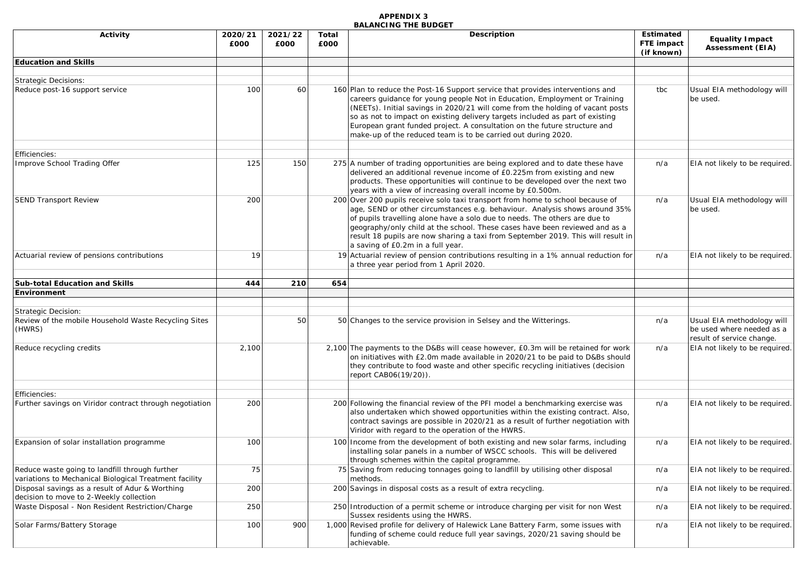| Activity                                                                                                 | 2020/21<br>£000 | 2021/22<br>£000 | Total<br>£000 | Description<br><b>Estimated</b><br>FTE impact<br>(if known)                                                                                                                                                                                                                                                                                                                                                                                                                   |     | <b>Equality Impact</b><br><b>Assessment (EIA)</b>                                    |
|----------------------------------------------------------------------------------------------------------|-----------------|-----------------|---------------|-------------------------------------------------------------------------------------------------------------------------------------------------------------------------------------------------------------------------------------------------------------------------------------------------------------------------------------------------------------------------------------------------------------------------------------------------------------------------------|-----|--------------------------------------------------------------------------------------|
| <b>Education and Skills</b>                                                                              |                 |                 |               |                                                                                                                                                                                                                                                                                                                                                                                                                                                                               |     |                                                                                      |
|                                                                                                          |                 |                 |               |                                                                                                                                                                                                                                                                                                                                                                                                                                                                               |     |                                                                                      |
| <b>Strategic Decisions:</b><br>Reduce post-16 support service                                            | 100             | 60              |               | 160 Plan to reduce the Post-16 Support service that provides interventions and<br>careers guidance for young people Not in Education, Employment or Training<br>(NEETs). Initial savings in 2020/21 will come from the holding of vacant posts<br>so as not to impact on existing delivery targets included as part of existing<br>European grant funded project. A consultation on the future structure and<br>make-up of the reduced team is to be carried out during 2020. | tbc | Usual EIA methodology will<br>be used.                                               |
| Efficiencies:                                                                                            |                 |                 |               |                                                                                                                                                                                                                                                                                                                                                                                                                                                                               |     |                                                                                      |
| Improve School Trading Offer                                                                             | 125             | 150             |               | 275 A number of trading opportunities are being explored and to date these have<br>delivered an additional revenue income of £0.225m from existing and new<br>products. These opportunities will continue to be developed over the next two<br>years with a view of increasing overall income by £0.500m.                                                                                                                                                                     | n/a | EIA not likely to be required.                                                       |
| <b>SEND Transport Review</b>                                                                             | 200             |                 |               | 200 Over 200 pupils receive solo taxi transport from home to school because of<br>age, SEND or other circumstances e.g. behaviour. Analysis shows around 35%<br>of pupils travelling alone have a solo due to needs. The others are due to<br>geography/only child at the school. These cases have been reviewed and as a<br>result 18 pupils are now sharing a taxi from September 2019. This will result in<br>a saving of £0.2m in a full year.                            | n/a | Usual EIA methodology will<br>be used.                                               |
| Actuarial review of pensions contributions                                                               | 19              |                 |               | 19 Actuarial review of pension contributions resulting in a 1% annual reduction for<br>a three year period from 1 April 2020.                                                                                                                                                                                                                                                                                                                                                 | n/a | EIA not likely to be required.                                                       |
| <b>Sub-total Education and Skills</b>                                                                    | 444             | 210             | 654           |                                                                                                                                                                                                                                                                                                                                                                                                                                                                               |     |                                                                                      |
| Environment                                                                                              |                 |                 |               |                                                                                                                                                                                                                                                                                                                                                                                                                                                                               |     |                                                                                      |
|                                                                                                          |                 |                 |               |                                                                                                                                                                                                                                                                                                                                                                                                                                                                               |     |                                                                                      |
| <b>Strategic Decision:</b><br>Review of the mobile Household Waste Recycling Sites<br>(HWRS)             |                 | 50              |               | 50 Changes to the service provision in Selsey and the Witterings.                                                                                                                                                                                                                                                                                                                                                                                                             | n/a | Usual EIA methodology will<br>be used where needed as a<br>result of service change. |
| Reduce recycling credits                                                                                 | 2,100           |                 |               | 2,100 The payments to the D&Bs will cease however, £0.3m will be retained for work<br>on initiatives with £2.0m made available in 2020/21 to be paid to D&Bs should<br>they contribute to food waste and other specific recycling initiatives (decision<br>report CAB06(19/20)).                                                                                                                                                                                              | n/a | EIA not likely to be required.                                                       |
| Efficiencies:                                                                                            |                 |                 |               |                                                                                                                                                                                                                                                                                                                                                                                                                                                                               |     |                                                                                      |
| Further savings on Viridor contract through negotiation                                                  | 200             |                 |               | 200 Following the financial review of the PFI model a benchmarking exercise was<br>also undertaken which showed opportunities within the existing contract. Also,<br>contract savings are possible in 2020/21 as a result of further negotiation with<br>Viridor with regard to the operation of the HWRS.                                                                                                                                                                    | n/a | EIA not likely to be required.                                                       |
| Expansion of solar installation programme                                                                | 100             |                 |               | 100 Income from the development of both existing and new solar farms, including<br>installing solar panels in a number of WSCC schools. This will be delivered<br>through schemes within the capital programme.                                                                                                                                                                                                                                                               | n/a | EIA not likely to be required.                                                       |
| Reduce waste going to landfill through further<br>variations to Mechanical Biological Treatment facility | 75              |                 |               | 75 Saving from reducing tonnages going to landfill by utilising other disposal<br>methods.                                                                                                                                                                                                                                                                                                                                                                                    | n/a | EIA not likely to be required.                                                       |
| Disposal savings as a result of Adur & Worthing<br>decision to move to 2-Weekly collection               | 200             |                 |               | 200 Savings in disposal costs as a result of extra recycling.                                                                                                                                                                                                                                                                                                                                                                                                                 | n/a | EIA not likely to be required.                                                       |
| Waste Disposal - Non Resident Restriction/Charge                                                         | 250             |                 |               | 250 Introduction of a permit scheme or introduce charging per visit for non West<br>Sussex residents using the HWRS.                                                                                                                                                                                                                                                                                                                                                          | n/a | EIA not likely to be required.                                                       |
| Solar Farms/Battery Storage                                                                              | 100             | 900             |               | 1,000 Revised profile for delivery of Halewick Lane Battery Farm, some issues with<br>funding of scheme could reduce full year savings, 2020/21 saving should be<br>achievable.                                                                                                                                                                                                                                                                                               | n/a | EIA not likely to be required.                                                       |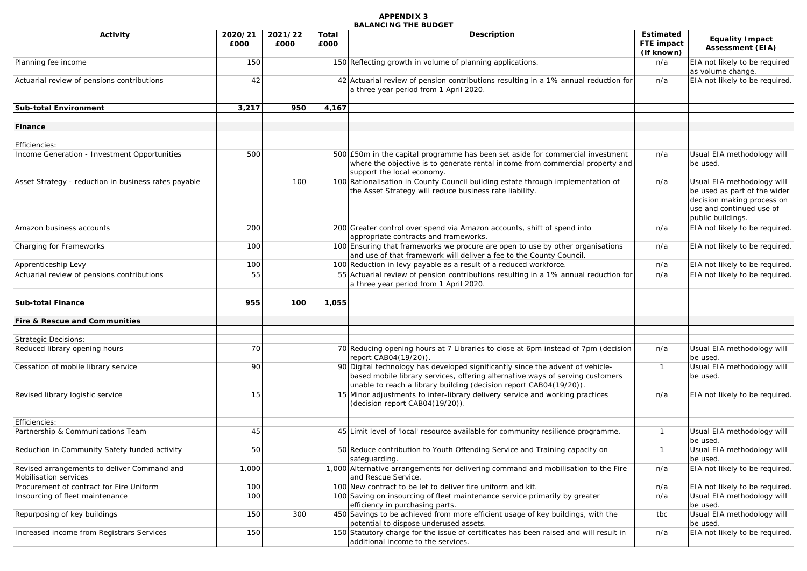| <b>Activity</b>                                                      | 2020/21<br>£000 | 2021/22<br>£000 | Total<br>£000 | Description                                                                                                                                                                                                                           | <b>Estimated</b><br>FTE impact<br>(if known) | <b>Equality Impact</b><br><b>Assessment (EIA)</b>                                                                                         |
|----------------------------------------------------------------------|-----------------|-----------------|---------------|---------------------------------------------------------------------------------------------------------------------------------------------------------------------------------------------------------------------------------------|----------------------------------------------|-------------------------------------------------------------------------------------------------------------------------------------------|
| Planning fee income                                                  | 150             |                 |               | 150 Reflecting growth in volume of planning applications.                                                                                                                                                                             | n/a                                          | EIA not likely to be required<br>as volume change.                                                                                        |
| Actuarial review of pensions contributions                           | 42              |                 |               | 42 Actuarial review of pension contributions resulting in a 1% annual reduction for<br>a three year period from 1 April 2020.                                                                                                         | n/a                                          | EIA not likely to be required.                                                                                                            |
| <b>Sub-total Environment</b>                                         | 3,217           | 950             | 4,167         |                                                                                                                                                                                                                                       |                                              |                                                                                                                                           |
| Finance                                                              |                 |                 |               |                                                                                                                                                                                                                                       |                                              |                                                                                                                                           |
| <i><b>Efficiencies:</b></i>                                          |                 |                 |               |                                                                                                                                                                                                                                       |                                              |                                                                                                                                           |
| Income Generation - Investment Opportunities                         | 500             |                 |               | 500 £50m in the capital programme has been set aside for commercial investment<br>where the objective is to generate rental income from commercial property and<br>support the local economy.                                         | n/a                                          | Usual EIA methodology will<br>be used.                                                                                                    |
| Asset Strategy - reduction in business rates payable                 |                 | 100             |               | 100 Rationalisation in County Council building estate through implementation of<br>the Asset Strategy will reduce business rate liability.                                                                                            | n/a                                          | Usual EIA methodology will<br>be used as part of the wider<br>decision making process on<br>use and continued use of<br>public buildings. |
| Amazon business accounts                                             | 200             |                 |               | 200 Greater control over spend via Amazon accounts, shift of spend into<br>appropriate contracts and frameworks.                                                                                                                      | n/a                                          | EIA not likely to be required.                                                                                                            |
| Charging for Frameworks                                              | 100             |                 |               | 100 Ensuring that frameworks we procure are open to use by other organisations<br>and use of that framework will deliver a fee to the County Council.                                                                                 | n/a                                          | EIA not likely to be required.                                                                                                            |
| Apprenticeship Levy                                                  | 100             |                 |               | 100 Reduction in levy payable as a result of a reduced workforce.                                                                                                                                                                     | n/a                                          | EIA not likely to be required.                                                                                                            |
| Actuarial review of pensions contributions                           | 55              |                 |               | 55 Actuarial review of pension contributions resulting in a 1% annual reduction for<br>a three year period from 1 April 2020.                                                                                                         | n/a                                          | EIA not likely to be required.                                                                                                            |
| <b>Sub-total Finance</b>                                             | 955             | 100             | 1,055         |                                                                                                                                                                                                                                       |                                              |                                                                                                                                           |
| Fire & Rescue and Communities                                        |                 |                 |               |                                                                                                                                                                                                                                       |                                              |                                                                                                                                           |
| <b>Strategic Decisions:</b>                                          |                 |                 |               |                                                                                                                                                                                                                                       |                                              |                                                                                                                                           |
| Reduced library opening hours                                        | 70              |                 |               | 70 Reducing opening hours at 7 Libraries to close at 6pm instead of 7pm (decision<br>report CAB04(19/20)).                                                                                                                            | n/a                                          | Usual EIA methodology will<br>be used.                                                                                                    |
| Cessation of mobile library service                                  | 90              |                 |               | 90 Digital technology has developed significantly since the advent of vehicle-<br>based mobile library services, offering alternative ways of serving customers<br>unable to reach a library building (decision report CAB04(19/20)). | $\mathbf{1}$                                 | Usual EIA methodology will<br>be used.                                                                                                    |
| Revised library logistic service                                     | 15              |                 |               | 15 Minor adjustments to inter-library delivery service and working practices<br>(decision report CAB04(19/20)).                                                                                                                       | n/a                                          | EIA not likely to be required.                                                                                                            |
| Efficiencies:                                                        |                 |                 |               |                                                                                                                                                                                                                                       |                                              |                                                                                                                                           |
| Partnership & Communications Team                                    | 45              |                 |               | 45 Limit level of 'local' resource available for community resilience programme.                                                                                                                                                      | $\mathbf{1}$                                 | Usual EIA methodology will<br>be used.                                                                                                    |
| Reduction in Community Safety funded activity                        | 50              |                 |               | 50 Reduce contribution to Youth Offending Service and Training capacity on<br>safeguarding.                                                                                                                                           | $\mathbf{1}$                                 | Usual EIA methodology will<br>be used.                                                                                                    |
| Revised arrangements to deliver Command and<br>Mobilisation services | 1,000           |                 |               | 1,000 Alternative arrangements for delivering command and mobilisation to the Fire<br>and Rescue Service.                                                                                                                             | n/a                                          | EIA not likely to be required.                                                                                                            |
| Procurement of contract for Fire Uniform                             | 100             |                 |               | 100 New contract to be let to deliver fire uniform and kit.                                                                                                                                                                           | n/a                                          | EIA not likely to be required.                                                                                                            |
| Insourcing of fleet maintenance                                      | 100             |                 |               | 100 Saving on insourcing of fleet maintenance service primarily by greater<br>efficiency in purchasing parts.                                                                                                                         | n/a                                          | Usual EIA methodology will<br>be used.                                                                                                    |
| Repurposing of key buildings                                         | 150             | 300             |               | 450 Savings to be achieved from more efficient usage of key buildings, with the<br>potential to dispose underused assets.                                                                                                             | tbc                                          | Usual EIA methodology will<br>be used.                                                                                                    |
| Increased income from Registrars Services                            | 150             |                 |               | 150 Statutory charge for the issue of certificates has been raised and will result in<br>additional income to the services.                                                                                                           | n/a                                          | EIA not likely to be required.                                                                                                            |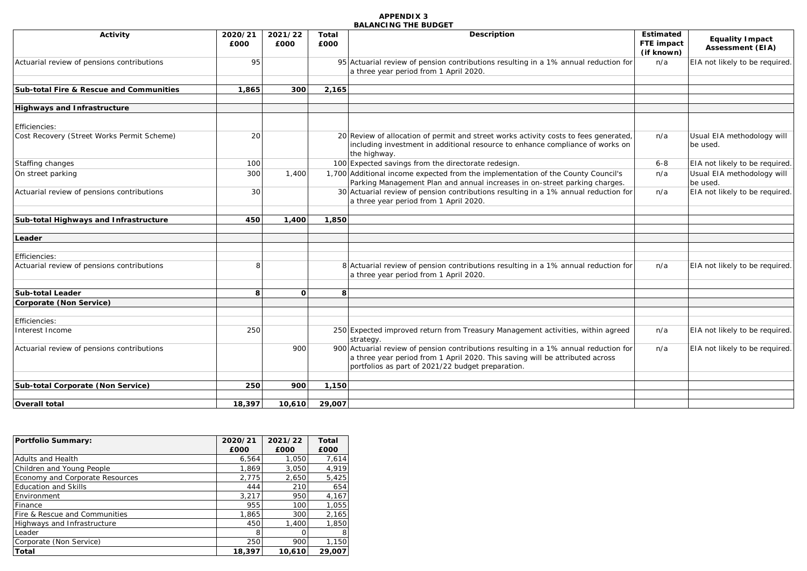| Activity                                   | 2020/21<br>£000 | 2021/22<br>£000 | Total<br>£000 | Description                                                                                                                                                                                                               | Estimated<br>FTE impact<br>(if known) | <b>Equality Impact</b><br><b>Assessment (EIA)</b> |
|--------------------------------------------|-----------------|-----------------|---------------|---------------------------------------------------------------------------------------------------------------------------------------------------------------------------------------------------------------------------|---------------------------------------|---------------------------------------------------|
| Actuarial review of pensions contributions | 95              |                 |               | 95 Actuarial review of pension contributions resulting in a 1% annual reduction for<br>a three year period from 1 April 2020.                                                                                             | n/a                                   | EIA not likely to be required.                    |
| Sub-total Fire & Rescue and Communities    | 1.865           | 300             | 2,165         |                                                                                                                                                                                                                           |                                       |                                                   |
| <b>Highways and Infrastructure</b>         |                 |                 |               |                                                                                                                                                                                                                           |                                       |                                                   |
| Efficiencies:                              |                 |                 |               |                                                                                                                                                                                                                           |                                       |                                                   |
| Cost Recovery (Street Works Permit Scheme) | 20              |                 |               | 20 Review of allocation of permit and street works activity costs to fees generated,<br>including investment in additional resource to enhance compliance of works on<br>the highway.                                     | n/a                                   | Usual EIA methodology will<br>be used.            |
| Staffing changes                           | 100             |                 |               | 100 Expected savings from the directorate redesign.                                                                                                                                                                       | $6 - 8$                               | EIA not likely to be required.                    |
| On street parking                          | 300             | 1,400           |               | 1,700 Additional income expected from the implementation of the County Council's<br>Parking Management Plan and annual increases in on-street parking charges.                                                            | n/a                                   | Usual EIA methodology will<br>be used.            |
| Actuarial review of pensions contributions | 30              |                 |               | 30 Actuarial review of pension contributions resulting in a 1% annual reduction for<br>a three year period from 1 April 2020.                                                                                             | n/a                                   | EIA not likely to be required.                    |
| Sub-total Highways and Infrastructure      | 450             | 1.400           | 1,850         |                                                                                                                                                                                                                           |                                       |                                                   |
| Leader                                     |                 |                 |               |                                                                                                                                                                                                                           |                                       |                                                   |
|                                            |                 |                 |               |                                                                                                                                                                                                                           |                                       |                                                   |
| Efficiencies:                              |                 |                 |               |                                                                                                                                                                                                                           |                                       |                                                   |
| Actuarial review of pensions contributions |                 |                 |               | 8 Actuarial review of pension contributions resulting in a 1% annual reduction for<br>a three year period from 1 April 2020.                                                                                              | n/a                                   | EIA not likely to be required.                    |
| <b>Sub-total Leader</b>                    | 8               | <sup>o</sup>    | 8             |                                                                                                                                                                                                                           |                                       |                                                   |
| Corporate (Non Service)                    |                 |                 |               |                                                                                                                                                                                                                           |                                       |                                                   |
|                                            |                 |                 |               |                                                                                                                                                                                                                           |                                       |                                                   |
| Efficiencies:                              |                 |                 |               |                                                                                                                                                                                                                           |                                       |                                                   |
| Interest Income                            | 250             |                 |               | 250 Expected improved return from Treasury Management activities, within agreed<br>strategy.                                                                                                                              | n/a                                   | EIA not likely to be required.                    |
| Actuarial review of pensions contributions |                 | 900             |               | 900 Actuarial review of pension contributions resulting in a 1% annual reduction for<br>a three year period from 1 April 2020. This saving will be attributed across<br>portfolios as part of 2021/22 budget preparation. | n/a                                   | EIA not likely to be required.                    |
| Sub-total Corporate (Non Service)          | <b>250</b>      | 900             | 1,150         |                                                                                                                                                                                                                           |                                       |                                                   |
|                                            |                 |                 |               |                                                                                                                                                                                                                           |                                       |                                                   |
| Overall total                              | 18,397          | 10,610          | 29,007        |                                                                                                                                                                                                                           |                                       |                                                   |

| Portfolio Summary:                     | 2020/21<br>£000 | 2021/22<br>£000 | Total<br>£000 |
|----------------------------------------|-----------------|-----------------|---------------|
| Adults and Health                      | 6.564           | 1,050           | 7,614         |
| Children and Young People              | 1,869           | 3.050           | 4,919         |
| <b>Economy and Corporate Resources</b> | 2,775           | 2,650           | 5,425         |
| <b>Education and Skills</b>            | 444             | 210             | 654           |
| Environment                            | 3,217           | 950             | 4,167         |
| Finance                                | 955             | 100             | 1,055         |
| Fire & Rescue and Communities          | 1.865           | 300             | 2,165         |
| Highways and Infrastructure            | 450             | 1.400           | 1,850         |
| Leader                                 | 8               |                 | 8             |
| Corporate (Non Service)                | 250             | 900             | 1,150         |
| <b>Total</b>                           | 18,397          | 10,610          | 29,007        |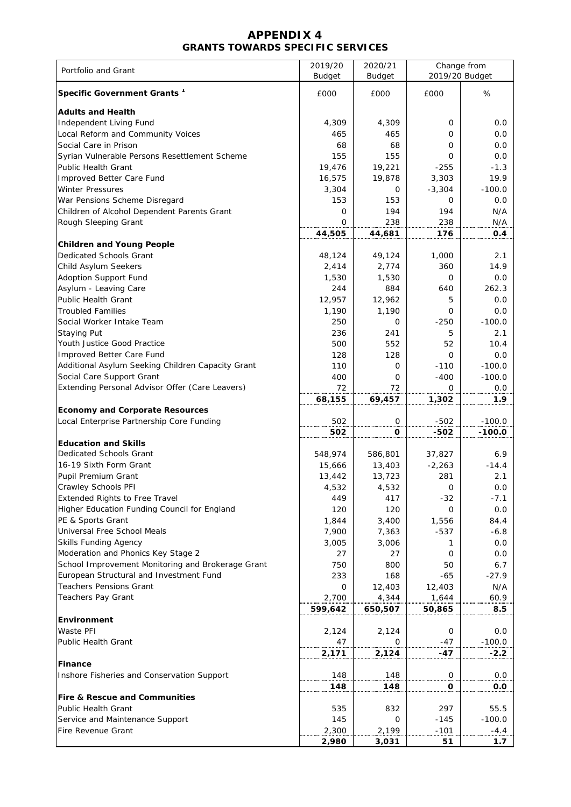### **APPENDIX 4 GRANTS TOWARDS SPECIFIC SERVICES**

| Portfolio and Grant                               | 2019/20<br><b>Budget</b> | 2020/21<br><b>Budget</b> | Change from<br>2019/20 Budget |          |  |
|---------------------------------------------------|--------------------------|--------------------------|-------------------------------|----------|--|
| Specific Government Grants <sup>1</sup>           | £000                     | £000                     | £000                          | %        |  |
| <b>Adults and Health</b>                          |                          |                          |                               |          |  |
| Independent Living Fund                           | 4,309                    | 4,309                    | 0                             | 0.0      |  |
| Local Reform and Community Voices                 | 465                      | 465                      | 0                             | 0.0      |  |
| Social Care in Prison                             | 68                       | 68                       | 0                             | 0.0      |  |
| Syrian Vulnerable Persons Resettlement Scheme     | 155                      | 155                      | 0                             | 0.0      |  |
| Public Health Grant                               | 19,476                   | 19,221                   | $-255$                        | $-1.3$   |  |
| Improved Better Care Fund                         | 16,575                   | 19,878                   | 3,303                         | 19.9     |  |
| <b>Winter Pressures</b>                           | 3,304                    | 0                        | $-3,304$                      | $-100.0$ |  |
| War Pensions Scheme Disregard                     | 153                      | 153                      | 0                             | 0.0      |  |
| Children of Alcohol Dependent Parents Grant       | 0                        | 194                      | 194                           | N/A      |  |
| Rough Sleeping Grant                              | 0                        | 238                      | 238                           | N/A      |  |
|                                                   | 44,505                   | 44,681                   | 176                           | 0.4      |  |
| <b>Children and Young People</b>                  |                          |                          |                               |          |  |
| <b>Dedicated Schools Grant</b>                    | 48,124                   | 49,124                   | 1,000                         | 2.1      |  |
| Child Asylum Seekers                              | 2,414                    | 2,774                    | 360                           | 14.9     |  |
| Adoption Support Fund                             | 1,530                    | 1,530                    | 0                             | 0.0      |  |
| Asylum - Leaving Care                             | 244                      | 884                      | 640                           | 262.3    |  |
| Public Health Grant                               | 12,957                   | 12,962                   | 5                             | 0.0      |  |
| <b>Troubled Families</b>                          | 1,190                    | 1,190                    | 0                             | 0.0      |  |
| Social Worker Intake Team                         | 250                      | 0                        | $-250$                        | $-100.0$ |  |
| Staying Put                                       | 236                      | 241                      | 5                             | 2.1      |  |
| Youth Justice Good Practice                       | 500                      | 552                      | 52                            | 10.4     |  |
| Improved Better Care Fund                         | 128                      | 128                      | 0                             | 0.0      |  |
| Additional Asylum Seeking Children Capacity Grant | 110                      | 0                        | $-110$                        | $-100.0$ |  |
| Social Care Support Grant                         | 400                      | 0                        | $-400$                        | $-100.0$ |  |
| Extending Personal Advisor Offer (Care Leavers)   | 72                       | 72                       | 0                             | 0.0      |  |
|                                                   | 68,155                   | 69,457                   | 1,302                         | 1.9      |  |
| <b>Economy and Corporate Resources</b>            |                          |                          |                               |          |  |
| Local Enterprise Partnership Core Funding         | 502                      | $\overline{0}$           | $-502$                        | $-100.0$ |  |
|                                                   | 502                      | O                        | -502                          | $-100.0$ |  |
| <b>Education and Skills</b>                       |                          |                          |                               |          |  |
| Dedicated Schools Grant                           | 548,974                  | 586,801                  | 37,827                        | 6.9      |  |
| 16-19 Sixth Form Grant                            | 15,666                   | 13,403                   | $-2,263$                      | $-14.4$  |  |
| Pupil Premium Grant                               | 13,442                   | 13,723                   | 281                           | 2.1      |  |
| Crawley Schools PFI                               | 4,532                    | 4,532                    | 0                             | $0.0\,$  |  |
| <b>Extended Rights to Free Travel</b>             | 449                      | 417                      | $-32$                         | $-7.1$   |  |
| Higher Education Funding Council for England      | 120                      | 120                      | 0                             | 0.0      |  |
| PE & Sports Grant                                 | 1,844                    | 3,400                    | 1,556                         | 84.4     |  |
| Universal Free School Meals                       | 7,900                    | 7,363                    | $-537$                        | $-6.8$   |  |
| <b>Skills Funding Agency</b>                      | 3,005                    | 3,006                    | 1                             | 0.0      |  |
| Moderation and Phonics Key Stage 2                | 27                       | 27                       | 0                             | 0.0      |  |
| School Improvement Monitoring and Brokerage Grant | 750                      | 800                      | 50                            | 6.7      |  |
| European Structural and Investment Fund           | 233                      | 168                      | $-65$                         | $-27.9$  |  |
| <b>Teachers Pensions Grant</b>                    | 0                        | 12,403                   | 12,403                        | N/A      |  |
| Teachers Pay Grant                                | 2,700                    | 4,344                    | 1,644                         | 60.9     |  |
|                                                   | 599,642                  | 650,507                  | 50,865                        | 8.5      |  |
| Environment                                       |                          |                          |                               |          |  |
| Waste PFI                                         | 2,124                    | 2,124                    | 0                             | 0.0      |  |
| <b>Public Health Grant</b>                        | 47                       | 0                        | -47                           | $-100.0$ |  |
|                                                   | 2,171                    | 2,124                    | $-47$                         | $-2.2$   |  |
| <b>Finance</b>                                    |                          |                          |                               |          |  |
| Inshore Fisheries and Conservation Support        | 148                      | 148                      | $\mathbf 0$                   | 0.0      |  |
|                                                   | 148                      | 148                      | O                             | 0.0      |  |
| <b>Fire &amp; Rescue and Communities</b>          |                          |                          |                               |          |  |
| <b>Public Health Grant</b>                        | 535                      | 832                      | 297                           | 55.5     |  |
| Service and Maintenance Support                   | 145                      | 0                        | $-145$                        | $-100.0$ |  |
| Fire Revenue Grant                                | 2,300                    | 2,199                    | $-101$                        | $-4.4$   |  |
|                                                   | 2,980                    | 3,031                    | 51                            | 1.7      |  |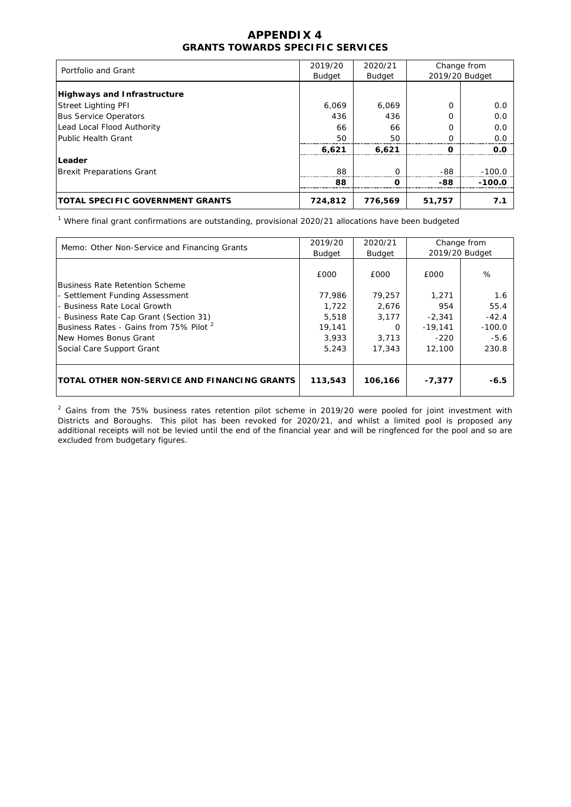## **APPENDIX 4 GRANTS TOWARDS SPECIFIC SERVICES**

| Portfolio and Grant                     | 2019/20       | 2020/21 | Change from |                |  |
|-----------------------------------------|---------------|---------|-------------|----------------|--|
|                                         | <b>Budget</b> | Budget  |             | 2019/20 Budget |  |
| <b>Highways and Infrastructure</b>      |               |         |             |                |  |
| <b>Street Lighting PFI</b>              | 6,069         | 6,069   | 0           | 0.0            |  |
| <b>Bus Service Operators</b>            | 436           | 436     |             | 0.0            |  |
| Lead Local Flood Authority              | 66            | 66      | O           | 0.0            |  |
| Public Health Grant                     | 50            | 50      |             | 0.0            |  |
|                                         | 6.621         | 6,621   | O           | 0.O            |  |
| Leader                                  |               |         |             |                |  |
| <b>Brexit Preparations Grant</b>        | 88            | ∩       | -88         | $-100.0$       |  |
|                                         | 88            |         | -88         | $-100.0$       |  |
| <b>TOTAL SPECIFIC GOVERNMENT GRANTS</b> | 724,812       | 776,569 | 51,757      | 7.1            |  |

<sup>1</sup> Where final grant confirmations are outstanding, provisional 2020/21 allocations have been budgeted

| Memo: Other Non-Service and Financing Grants        | 2019/20<br><b>Budget</b> | 2020/21<br>Budget |           | Change from<br>2019/20 Budget |
|-----------------------------------------------------|--------------------------|-------------------|-----------|-------------------------------|
|                                                     |                          |                   |           |                               |
|                                                     | £000                     | £000              | £000      | %                             |
| Business Rate Retention Scheme                      |                          |                   |           |                               |
| - Settlement Funding Assessment                     | 77.986                   | 79,257            | 1,271     | 1.6                           |
| - Business Rate Local Growth                        | 1.722                    | 2.676             | 954       | 55.4                          |
| - Business Rate Cap Grant (Section 31)              | 5,518                    | 3,177             | $-2,341$  | $-42.4$                       |
| Business Rates - Gains from 75% Pilot <sup>2</sup>  | 19,141                   | 0                 | $-19.141$ | $-100.0$                      |
| INew Homes Bonus Grant                              | 3,933                    | 3.713             | $-220$    | $-5.6$                        |
| Social Care Support Grant                           | 5.243                    | 17,343            | 12,100    | 230.8                         |
|                                                     |                          |                   |           |                               |
|                                                     |                          |                   |           |                               |
| <b>TOTAL OTHER NON-SERVICE AND FINANCING GRANTS</b> | 113,543                  | 106,166           | $-7,377$  | $-6.5$                        |
|                                                     |                          |                   |           |                               |

 $^2$  Gains from the 75% business rates retention pilot scheme in 2019/20 were pooled for joint investment with Districts and Boroughs. This pilot has been revoked for 2020/21, and whilst a limited pool is proposed any additional receipts will not be levied until the end of the financial year and will be ringfenced for the pool and so are excluded from budgetary figures.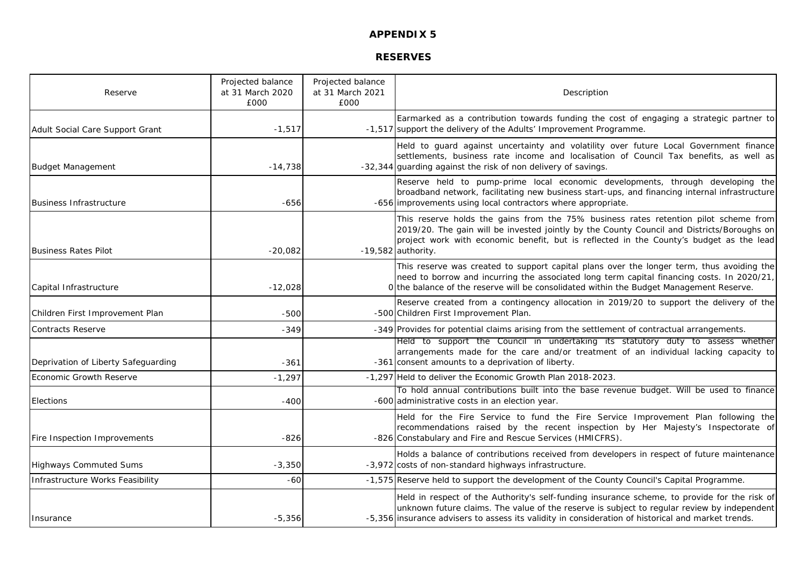**RESERVES**

| Reserve                             | Projected balance<br>at 31 March 2020<br>£000 | Projected balance<br>at 31 March 2021<br>£000 | Description                                                                                                                                                                                                                                                                                           |
|-------------------------------------|-----------------------------------------------|-----------------------------------------------|-------------------------------------------------------------------------------------------------------------------------------------------------------------------------------------------------------------------------------------------------------------------------------------------------------|
| Adult Social Care Support Grant     | $-1,517$                                      |                                               | Earmarked as a contribution towards funding the cost of engaging a strategic partner to<br>-1,517 support the delivery of the Adults' Improvement Programme.                                                                                                                                          |
| <b>Budget Management</b>            | $-14,738$                                     |                                               | Held to guard against uncertainty and volatility over future Local Government finance<br>settlements, business rate income and localisation of Council Tax benefits, as well as<br>-32,344 guarding against the risk of non delivery of savings.                                                      |
| <b>Business Infrastructure</b>      | $-656$                                        |                                               | Reserve held to pump-prime local economic developments, through developing the<br>broadband network, facilitating new business start-ups, and financing internal infrastructure<br>-656 improvements using local contractors where appropriate.                                                       |
| <b>Business Rates Pilot</b>         | $-20,082$                                     |                                               | This reserve holds the gains from the 75% business rates retention pilot scheme from<br>2019/20. The gain will be invested jointly by the County Council and Districts/Boroughs on<br>project work with economic benefit, but is reflected in the County's budget as the lead<br>$-19,582$ authority. |
| Capital Infrastructure              | $-12,028$                                     |                                               | This reserve was created to support capital plans over the longer term, thus avoiding the<br>need to borrow and incurring the associated long term capital financing costs. In 2020/21,<br>O the balance of the reserve will be consolidated within the Budget Management Reserve.                    |
| Children First Improvement Plan     | $-500$                                        |                                               | Reserve created from a contingency allocation in 2019/20 to support the delivery of the<br>-500 Children First Improvement Plan.                                                                                                                                                                      |
| <b>Contracts Reserve</b>            | $-349$                                        |                                               | -349 Provides for potential claims arising from the settlement of contractual arrangements.                                                                                                                                                                                                           |
| Deprivation of Liberty Safeguarding | $-361$                                        |                                               | Held to support the Council in undertaking its statutory duty to assess whether<br>arrangements made for the care and/or treatment of an individual lacking capacity to<br>-361 consent amounts to a deprivation of liberty.                                                                          |
| Economic Growth Reserve             | $-1,297$                                      |                                               | -1,297 Held to deliver the Economic Growth Plan 2018-2023.                                                                                                                                                                                                                                            |
| Elections                           | $-400$                                        |                                               | To hold annual contributions built into the base revenue budget. Will be used to finance<br>-600 administrative costs in an election year.                                                                                                                                                            |
| Fire Inspection Improvements        | $-826$                                        |                                               | Held for the Fire Service to fund the Fire Service Improvement Plan following the<br>recommendations raised by the recent inspection by Her Majesty's Inspectorate of<br>-826 Constabulary and Fire and Rescue Services (HMICFRS).                                                                    |
| <b>Highways Commuted Sums</b>       | $-3,350$                                      |                                               | Holds a balance of contributions received from developers in respect of future maintenance<br>-3,972 costs of non-standard highways infrastructure.                                                                                                                                                   |
| Infrastructure Works Feasibility    | $-60$                                         |                                               | -1,575 Reserve held to support the development of the County Council's Capital Programme.                                                                                                                                                                                                             |
| Insurance                           | $-5,356$                                      |                                               | Held in respect of the Authority's self-funding insurance scheme, to provide for the risk of<br>unknown future claims. The value of the reserve is subject to regular review by independent<br>-5,356 insurance advisers to assess its validity in consideration of historical and market trends.     |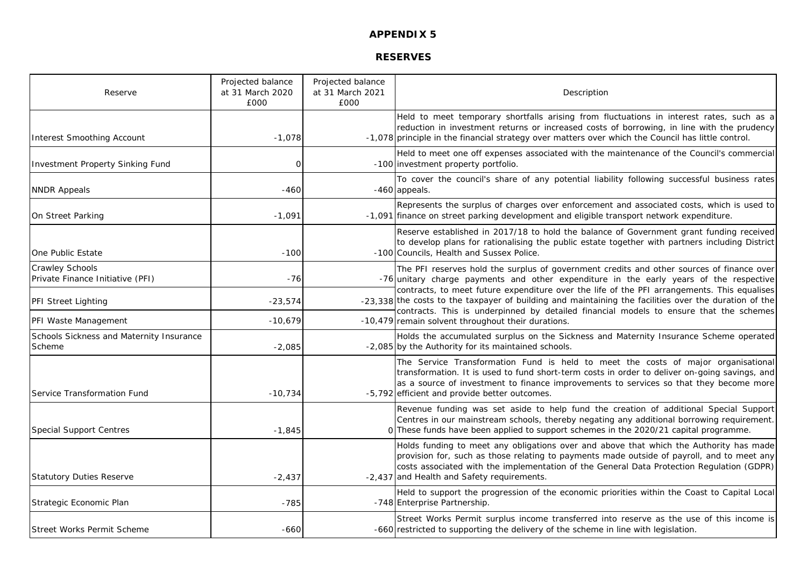## **RESERVES**

| Reserve                                                    | Projected balance<br>at 31 March 2020<br>£000 | Projected balance<br>at 31 March 2021<br>£000 | Description                                                                                                                                                                                                                                                                                                                     |
|------------------------------------------------------------|-----------------------------------------------|-----------------------------------------------|---------------------------------------------------------------------------------------------------------------------------------------------------------------------------------------------------------------------------------------------------------------------------------------------------------------------------------|
| <b>Interest Smoothing Account</b>                          | $-1.078$                                      |                                               | Held to meet temporary shortfalls arising from fluctuations in interest rates, such as a<br>reduction in investment returns or increased costs of borrowing, in line with the prudency<br>-1,078 principle in the financial strategy over matters over which the Council has little control.                                    |
| Investment Property Sinking Fund                           | $\Omega$                                      |                                               | Held to meet one off expenses associated with the maintenance of the Council's commercial<br>-100 investment property portfolio.                                                                                                                                                                                                |
| <b>NNDR Appeals</b>                                        | $-460$                                        |                                               | To cover the council's share of any potential liability following successful business rates<br>-460 appeals.                                                                                                                                                                                                                    |
| On Street Parking                                          | $-1,091$                                      |                                               | Represents the surplus of charges over enforcement and associated costs, which is used to<br>-1,091 finance on street parking development and eligible transport network expenditure.                                                                                                                                           |
| One Public Estate                                          | $-100$                                        |                                               | Reserve established in 2017/18 to hold the balance of Government grant funding received<br>to develop plans for rationalising the public estate together with partners including District<br>-100 Councils, Health and Sussex Police.                                                                                           |
| <b>Crawley Schools</b><br>Private Finance Initiative (PFI) | -76                                           |                                               | The PFI reserves hold the surplus of government credits and other sources of finance over<br>-76 unitary charge payments and other expenditure in the early years of the respective                                                                                                                                             |
| <b>PFI Street Lighting</b>                                 | $-23,574$                                     |                                               | contracts, to meet future expenditure over the life of the PFI arrangements. This equalises<br>-23,338 the costs to the taxpayer of building and maintaining the facilities over the duration of the<br>contracts. This is underpinned by detailed financial models to ensure that the schemes                                  |
| PFI Waste Management                                       | $-10,679$                                     |                                               | -10,479 remain solvent throughout their durations.                                                                                                                                                                                                                                                                              |
| Schools Sickness and Maternity Insurance<br>Scheme         | $-2,085$                                      |                                               | Holds the accumulated surplus on the Sickness and Maternity Insurance Scheme operated<br>-2,085 by the Authority for its maintained schools.                                                                                                                                                                                    |
| Service Transformation Fund                                | $-10,734$                                     |                                               | The Service Transformation Fund is held to meet the costs of major organisational<br>transformation. It is used to fund short-term costs in order to deliver on-going savings, and<br>as a source of investment to finance improvements to services so that they become more<br>-5,792 efficient and provide better outcomes.   |
| <b>Special Support Centres</b>                             | $-1,845$                                      |                                               | Revenue funding was set aside to help fund the creation of additional Special Support<br>Centres in our mainstream schools, thereby negating any additional borrowing requirement.<br>0 These funds have been applied to support schemes in the 2020/21 capital programme.                                                      |
| <b>Statutory Duties Reserve</b>                            | $-2,437$                                      |                                               | Holds funding to meet any obligations over and above that which the Authority has made<br>provision for, such as those relating to payments made outside of payroll, and to meet any<br>costs associated with the implementation of the General Data Protection Regulation (GDPR)<br>-2,437 and Health and Safety requirements. |
| Strategic Economic Plan                                    | $-785$                                        |                                               | Held to support the progression of the economic priorities within the Coast to Capital Local<br>-748 Enterprise Partnership.                                                                                                                                                                                                    |
| Street Works Permit Scheme                                 | $-660$                                        |                                               | Street Works Permit surplus income transferred into reserve as the use of this income is<br>-660 restricted to supporting the delivery of the scheme in line with legislation.                                                                                                                                                  |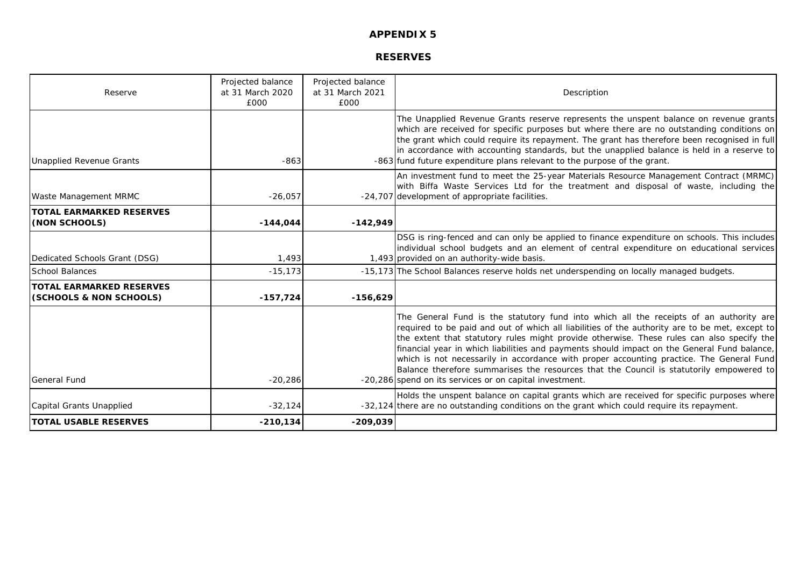## **RESERVES**

| Reserve                                                    | Projected balance<br>at 31 March 2020<br>£000 | Projected balance<br>at 31 March 2021<br>£000 | Description                                                                                                                                                                                                                                                                                                                                                                                                                                                                                                                                                                                                                            |
|------------------------------------------------------------|-----------------------------------------------|-----------------------------------------------|----------------------------------------------------------------------------------------------------------------------------------------------------------------------------------------------------------------------------------------------------------------------------------------------------------------------------------------------------------------------------------------------------------------------------------------------------------------------------------------------------------------------------------------------------------------------------------------------------------------------------------------|
| <b>Unapplied Revenue Grants</b>                            | $-863$                                        |                                               | The Unapplied Revenue Grants reserve represents the unspent balance on revenue grants<br>which are received for specific purposes but where there are no outstanding conditions on<br>the grant which could require its repayment. The grant has therefore been recognised in full<br>in accordance with accounting standards, but the unapplied balance is held in a reserve to<br>-863 fund future expenditure plans relevant to the purpose of the grant.                                                                                                                                                                           |
| Waste Management MRMC                                      | $-26,057$                                     |                                               | An investment fund to meet the 25-year Materials Resource Management Contract (MRMC)<br>with Biffa Waste Services Ltd for the treatment and disposal of waste, including the<br>-24,707 development of appropriate facilities.                                                                                                                                                                                                                                                                                                                                                                                                         |
| <b>TOTAL EARMARKED RESERVES</b><br>(NON SCHOOLS)           | $-144,044$                                    | $-142,949$                                    |                                                                                                                                                                                                                                                                                                                                                                                                                                                                                                                                                                                                                                        |
| Dedicated Schools Grant (DSG)                              | 1,493                                         |                                               | DSG is ring-fenced and can only be applied to finance expenditure on schools. This includes<br>individual school budgets and an element of central expenditure on educational services<br>1,493 provided on an authority-wide basis.                                                                                                                                                                                                                                                                                                                                                                                                   |
| <b>School Balances</b>                                     | $-15, 173$                                    |                                               | -15,173 The School Balances reserve holds net underspending on locally managed budgets.                                                                                                                                                                                                                                                                                                                                                                                                                                                                                                                                                |
| <b>TOTAL EARMARKED RESERVES</b><br>(SCHOOLS & NON SCHOOLS) | $-157,724$                                    | $-156,629$                                    |                                                                                                                                                                                                                                                                                                                                                                                                                                                                                                                                                                                                                                        |
| <b>General Fund</b>                                        | $-20,286$                                     |                                               | The General Fund is the statutory fund into which all the receipts of an authority are<br>required to be paid and out of which all liabilities of the authority are to be met, except to<br>the extent that statutory rules might provide otherwise. These rules can also specify the<br>financial year in which liabilities and payments should impact on the General Fund balance,<br>which is not necessarily in accordance with proper accounting practice. The General Fund<br>Balance therefore summarises the resources that the Council is statutorily empowered to<br>-20,286 spend on its services or on capital investment. |
| Capital Grants Unapplied                                   | $-32,124$                                     |                                               | Holds the unspent balance on capital grants which are received for specific purposes where<br>-32,124 there are no outstanding conditions on the grant which could require its repayment.                                                                                                                                                                                                                                                                                                                                                                                                                                              |
| <b>TOTAL USABLE RESERVES</b>                               | $-210,134$                                    | $-209,039$                                    |                                                                                                                                                                                                                                                                                                                                                                                                                                                                                                                                                                                                                                        |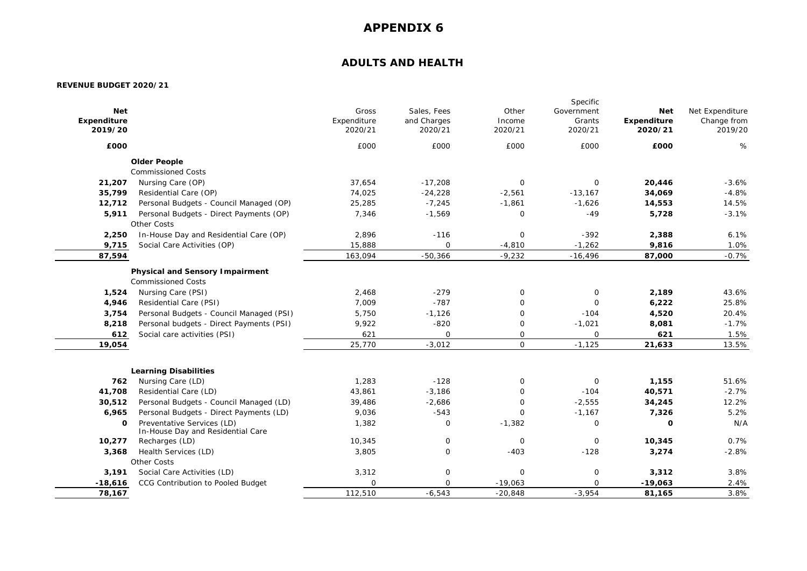## **ADULTS AND HEALTH**

|             |                                                                 |             |              |              | Specific    |             |                 |
|-------------|-----------------------------------------------------------------|-------------|--------------|--------------|-------------|-------------|-----------------|
| <b>Net</b>  |                                                                 | Gross       | Sales, Fees  | Other        | Government  | <b>Net</b>  | Net Expenditure |
| Expenditure |                                                                 | Expenditure | and Charges  | Income       | Grants      | Expenditure | Change from     |
| 2019/20     |                                                                 | 2020/21     | 2020/21      | 2020/21      | 2020/21     | 2020/21     | 2019/20         |
| £000        |                                                                 | £000        | £000         | £000         | £000        | £000        | %               |
|             | <b>Older People</b>                                             |             |              |              |             |             |                 |
|             | <b>Commissioned Costs</b>                                       |             |              |              |             |             |                 |
| 21,207      | Nursing Care (OP)                                               | 37,654      | $-17,208$    | $\mathsf O$  | $\mathbf 0$ | 20,446      | $-3.6%$         |
| 35,799      | Residential Care (OP)                                           | 74,025      | $-24,228$    | $-2,561$     | $-13,167$   | 34,069      | $-4.8%$         |
| 12,712      | Personal Budgets - Council Managed (OP)                         | 25,285      | $-7,245$     | $-1,861$     | $-1,626$    | 14,553      | 14.5%           |
| 5,911       | Personal Budgets - Direct Payments (OP)                         | 7,346       | $-1,569$     | $\mathsf{O}$ | $-49$       | 5,728       | $-3.1%$         |
|             | Other Costs                                                     |             |              |              |             |             |                 |
| 2,250       | In-House Day and Residential Care (OP)                          | 2,896       | $-116$       | $\mathsf O$  | $-392$      | 2,388       | 6.1%            |
| 9,715       | Social Care Activities (OP)                                     | 15,888      | $\Omega$     | $-4,810$     | $-1,262$    | 9,816       | 1.0%            |
| 87,594      |                                                                 | 163,094     | $-50,366$    | $-9,232$     | $-16,496$   | 87,000      | $-0.7%$         |
|             | <b>Physical and Sensory Impairment</b>                          |             |              |              |             |             |                 |
|             | <b>Commissioned Costs</b>                                       |             |              |              |             |             |                 |
| 1,524       | Nursing Care (PSI)                                              | 2,468       | $-279$       | 0            | $\mathbf 0$ | 2,189       | 43.6%           |
| 4,946       | Residential Care (PSI)                                          | 7,009       | $-787$       | $\mathbf 0$  | $\mathbf 0$ | 6,222       | 25.8%           |
| 3,754       | Personal Budgets - Council Managed (PSI)                        | 5,750       | $-1,126$     | $\mathbf 0$  | $-104$      | 4,520       | 20.4%           |
| 8,218       | Personal budgets - Direct Payments (PSI)                        | 9,922       | $-820$       | $\mathbf 0$  | $-1,021$    | 8,081       | $-1.7%$         |
| 612         | Social care activities (PSI)                                    | 621         | $\mathbf 0$  | $\mathbf 0$  | $\mathbf 0$ | 621         | 1.5%            |
| 19,054      |                                                                 | 25,770      | $-3,012$     | $\mathsf{O}$ | $-1,125$    | 21,633      | 13.5%           |
|             |                                                                 |             |              |              |             |             |                 |
|             | <b>Learning Disabilities</b>                                    |             |              |              |             |             |                 |
| 762         | Nursing Care (LD)                                               | 1,283       | $-128$       | $\mathsf{O}$ | $\mathsf O$ | 1,155       | 51.6%           |
| 41,708      | Residential Care (LD)                                           | 43,861      | $-3,186$     | $\mathbf 0$  | $-104$      | 40,571      | $-2.7%$         |
| 30,512      | Personal Budgets - Council Managed (LD)                         | 39,486      | $-2,686$     | $\mathbf 0$  | $-2,555$    | 34,245      | 12.2%           |
| 6,965       | Personal Budgets - Direct Payments (LD)                         | 9,036       | $-543$       | $\Omega$     | $-1,167$    | 7,326       | 5.2%            |
| $\Omega$    | Preventative Services (LD)<br>In-House Day and Residential Care | 1,382       | $\mathbf 0$  | $-1,382$     | $\mathsf O$ | $\mathbf 0$ | N/A             |
| 10,277      | Recharges (LD)                                                  | 10,345      | $\mathbf 0$  | $\mathbf 0$  | $\mathbf 0$ | 10,345      | 0.7%            |
| 3,368       | Health Services (LD)                                            | 3,805       | $\mathsf{O}$ | $-403$       | $-128$      | 3,274       | $-2.8%$         |
|             | Other Costs                                                     |             |              |              |             |             |                 |
| 3,191       | Social Care Activities (LD)                                     | 3,312       | $\mathsf{O}$ | $\mathsf O$  | $\mathsf O$ | 3,312       | 3.8%            |
| $-18,616$   | CCG Contribution to Pooled Budget                               | $\Omega$    | $\Omega$     | $-19,063$    | $\mathbf 0$ | $-19,063$   | 2.4%            |
| 78,167      |                                                                 | 112,510     | $-6,543$     | $-20,848$    | $-3,954$    | 81,165      | 3.8%            |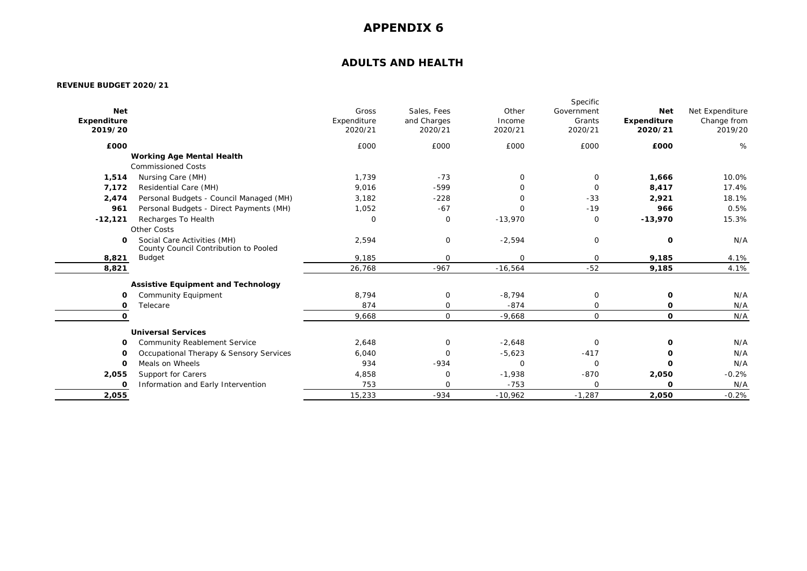## **ADULTS AND HEALTH**

|             |                                                                      |             |              |              | Specific     |                    |                 |
|-------------|----------------------------------------------------------------------|-------------|--------------|--------------|--------------|--------------------|-----------------|
| <b>Net</b>  |                                                                      | Gross       | Sales, Fees  | Other        | Government   | <b>Net</b>         | Net Expenditure |
| Expenditure |                                                                      | Expenditure | and Charges  | Income       | Grants       | <b>Expenditure</b> | Change from     |
| 2019/20     |                                                                      | 2020/21     | 2020/21      | 2020/21      | 2020/21      | 2020/21            | 2019/20         |
| £000        |                                                                      | £000        | £000         | £000         | £000         | £000               | %               |
|             | <b>Working Age Mental Health</b>                                     |             |              |              |              |                    |                 |
|             | <b>Commissioned Costs</b>                                            |             |              |              |              |                    |                 |
| 1,514       | Nursing Care (MH)                                                    | 1.739       | $-73$        | $\mathbf 0$  | $\mathbf 0$  | 1,666              | 10.0%           |
| 7,172       | Residential Care (MH)                                                | 9,016       | $-599$       | 0            | $\mathbf 0$  | 8,417              | 17.4%           |
| 2,474       | Personal Budgets - Council Managed (MH)                              | 3,182       | $-228$       | $\Omega$     | $-33$        | 2,921              | 18.1%           |
| 961         | Personal Budgets - Direct Payments (MH)                              | 1,052       | $-67$        | 0            | $-19$        | 966                | 0.5%            |
| $-12,121$   | Recharges To Health                                                  | 0           | $\mathbf 0$  | $-13,970$    | $\mathbf 0$  | $-13,970$          | 15.3%           |
|             | Other Costs                                                          |             |              |              |              |                    |                 |
| 0           | Social Care Activities (MH)<br>County Council Contribution to Pooled | 2,594       | $\mathbf 0$  | $-2,594$     | $\mathbf 0$  | $\mathbf 0$        | N/A             |
| 8,821       | <b>Budget</b>                                                        | 9,185       | $\mathbf 0$  | 0            | $\mathbf 0$  | 9,185              | 4.1%            |
| 8,821       |                                                                      | 26,768      | $-967$       | $-16,564$    | $-52$        | 9,185              | 4.1%            |
|             | <b>Assistive Equipment and Technology</b>                            |             |              |              |              |                    |                 |
| 0           | Community Equipment                                                  | 8.794       | $\mathbf 0$  | $-8,794$     | $\mathbf 0$  | 0                  | N/A             |
| 0           | Telecare                                                             | 874         | $\mathbf 0$  | $-874$       | $\mathbf 0$  | 0                  | N/A             |
| 0           |                                                                      | 9,668       | $\mathbf{O}$ | $-9,668$     | $\mathsf{O}$ | $\mathbf{o}$       | N/A             |
|             | <b>Universal Services</b>                                            |             |              |              |              |                    |                 |
| 0           | <b>Community Reablement Service</b>                                  | 2,648       | 0            | $-2,648$     | 0            | 0                  | N/A             |
| O           | Occupational Therapy & Sensory Services                              | 6,040       | $\mathbf 0$  | $-5,623$     | $-417$       | O                  | N/A             |
| 0           | Meals on Wheels                                                      | 934         | $-934$       | $\mathbf{O}$ | $\mathbf 0$  | $\Omega$           | N/A             |
| 2,055       | Support for Carers                                                   | 4,858       | 0            | $-1,938$     | $-870$       | 2,050              | $-0.2%$         |
| 0           | Information and Early Intervention                                   | 753         | $\mathbf 0$  | $-753$       | $\mathbf 0$  | $\mathbf 0$        | N/A             |
| 2,055       |                                                                      | 15,233      | $-934$       | $-10,962$    | $-1,287$     | 2,050              | $-0.2%$         |
|             |                                                                      |             |              |              |              |                    |                 |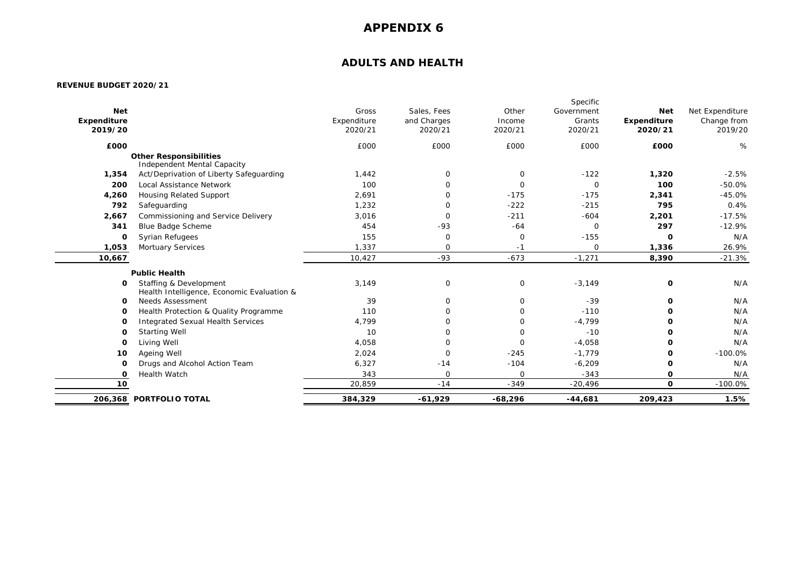## **ADULTS AND HEALTH**

|             |                                                                      |             |             |             | Specific    |             |                 |
|-------------|----------------------------------------------------------------------|-------------|-------------|-------------|-------------|-------------|-----------------|
| <b>Net</b>  |                                                                      | Gross       | Sales, Fees | Other       | Government  | <b>Net</b>  | Net Expenditure |
| Expenditure |                                                                      | Expenditure | and Charges | Income      | Grants      | Expenditure | Change from     |
| 2019/20     |                                                                      | 2020/21     | 2020/21     | 2020/21     | 2020/21     | 2020/21     | 2019/20         |
| £000        |                                                                      | £000        | £000        | £000        | £000        | £000        | %               |
|             | <b>Other Responsibilities</b><br>Independent Mental Capacity         |             |             |             |             |             |                 |
| 1,354       | Act/Deprivation of Liberty Safeguarding                              | 1,442       | $\mathbf 0$ | 0           | $-122$      | 1,320       | $-2.5%$         |
| 200         | Local Assistance Network                                             | 100         | $\Omega$    | $\Omega$    | $\mathbf 0$ | 100         | $-50.0%$        |
| 4,260       | <b>Housing Related Support</b>                                       | 2,691       | $\Omega$    | $-175$      | $-175$      | 2,341       | $-45.0%$        |
| 792         | Safeguarding                                                         | 1,232       | $\mathbf 0$ | $-222$      | $-215$      | 795         | 0.4%            |
| 2,667       | Commissioning and Service Delivery                                   | 3,016       | $\Omega$    | $-211$      | $-604$      | 2,201       | $-17.5%$        |
| 341         | Blue Badge Scheme                                                    | 454         | $-93$       | $-64$       | $\mathbf 0$ | 297         | $-12.9%$        |
| 0           | <b>Syrian Refugees</b>                                               | 155         | $\mathbf 0$ | $\mathbf 0$ | $-155$      | 0           | N/A             |
| 1,053       | Mortuary Services                                                    | 1,337       | $\mathbf 0$ | $-1$        | $\mathbf 0$ | 1,336       | 26.9%           |
| 10,667      |                                                                      | 10,427      | $-93$       | $-673$      | $-1,271$    | 8,390       | $-21.3%$        |
|             | <b>Public Health</b>                                                 |             |             |             |             |             |                 |
| 0           | Staffing & Development<br>Health Intelligence, Economic Evaluation & | 3,149       | $\mathbf 0$ | $\mathbf 0$ | $-3,149$    | 0           | N/A             |
| O           | <b>Needs Assessment</b>                                              | 39          | $\Omega$    | 0           | $-39$       | O           | N/A             |
| 0           | Health Protection & Quality Programme                                | 110         | 0           | $\mathbf 0$ | $-110$      | O           | N/A             |
| O           | <b>Integrated Sexual Health Services</b>                             | 4,799       | $\Omega$    | $\mathbf 0$ | $-4,799$    | 0           | N/A             |
| O           | <b>Starting Well</b>                                                 | 10          | $\Omega$    | $\mathbf 0$ | $-10$       | O           | N/A             |
| $\mathbf 0$ | Living Well                                                          | 4,058       | $\mathbf 0$ | $\mathbf 0$ | $-4,058$    | 0           | N/A             |
| 10          | Ageing Well                                                          | 2,024       | $\mathbf 0$ | $-245$      | $-1,779$    | 0           | $-100.0%$       |
| O           | Drugs and Alcohol Action Team                                        | 6,327       | $-14$       | $-104$      | $-6,209$    | 0           | N/A             |
| O           | Health Watch                                                         | 343         | $\mathbf 0$ | $\mathbf 0$ | $-343$      | 0           | N/A             |
| 10          |                                                                      | 20,859      | $-14$       | $-349$      | $-20,496$   | 0           | $-100.0%$       |
|             | 206,368 PORTFOLIO TOTAL                                              | 384,329     | $-61,929$   | $-68,296$   | $-44,681$   | 209,423     | 1.5%            |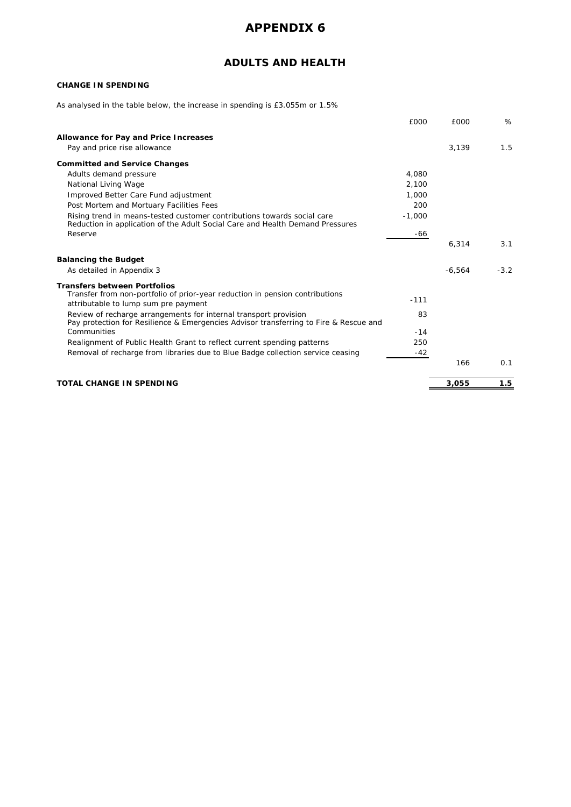## **ADULTS AND HEALTH**

### **CHANGE IN SPENDING**

As analysed in the table below, the increase in spending is £3.055m or 1.5%

|                                                                                                                                                           | £000     | £000     | %      |
|-----------------------------------------------------------------------------------------------------------------------------------------------------------|----------|----------|--------|
| Allowance for Pay and Price Increases                                                                                                                     |          |          |        |
| Pay and price rise allowance                                                                                                                              |          | 3,139    | 1.5    |
| <b>Committed and Service Changes</b>                                                                                                                      |          |          |        |
| Adults demand pressure                                                                                                                                    | 4.080    |          |        |
| National Living Wage                                                                                                                                      | 2,100    |          |        |
| Improved Better Care Fund adjustment                                                                                                                      | 1,000    |          |        |
| Post Mortem and Mortuary Facilities Fees                                                                                                                  | 200      |          |        |
| Rising trend in means-tested customer contributions towards social care<br>Reduction in application of the Adult Social Care and Health Demand Pressures  | $-1,000$ |          |        |
| Reserve                                                                                                                                                   | -66      |          |        |
|                                                                                                                                                           |          | 6,314    | 3.1    |
| <b>Balancing the Budget</b>                                                                                                                               |          |          |        |
| As detailed in Appendix 3                                                                                                                                 |          | $-6,564$ | $-3.2$ |
| <b>Transfers between Portfolios</b>                                                                                                                       |          |          |        |
| Transfer from non-portfolio of prior-year reduction in pension contributions<br>attributable to lump sum pre payment                                      | $-111$   |          |        |
| Review of recharge arrangements for internal transport provision<br>Pay protection for Resilience & Emergencies Advisor transferring to Fire & Rescue and | 83       |          |        |
| Communities                                                                                                                                               | $-14$    |          |        |
| Realignment of Public Health Grant to reflect current spending patterns                                                                                   | 250      |          |        |
| Removal of recharge from libraries due to Blue Badge collection service ceasing                                                                           | $-42$    |          |        |
|                                                                                                                                                           |          | 166      | 0.1    |
| <b>TOTAL CHANGE IN SPENDING</b>                                                                                                                           |          | 3,055    | 1.5    |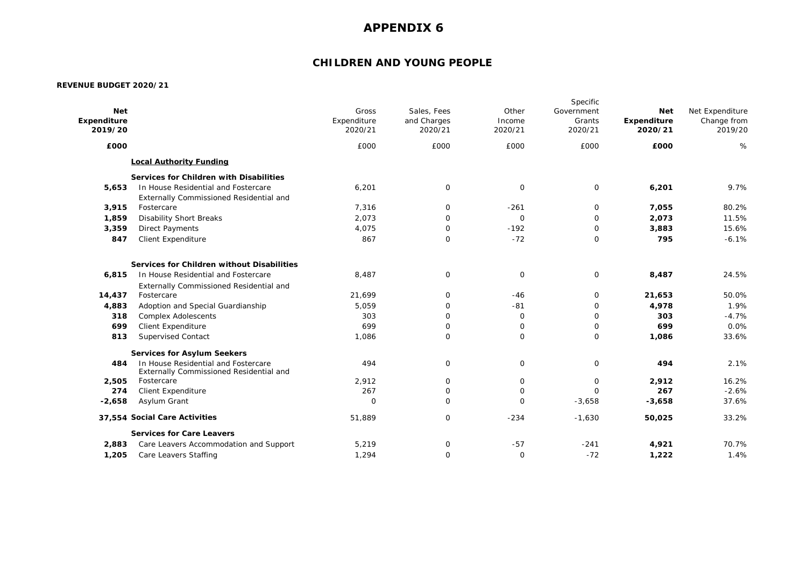## **CHILDREN AND YOUNG PEOPLE**

| <b>Net</b><br>Expenditure<br>2019/20 |                                                                                | Gross<br>Expenditure<br>2020/21 | Sales, Fees<br>and Charges<br>2020/21 | Other<br>Income<br>2020/21 | Specific<br>Government<br>Grants<br>2020/21 | <b>Net</b><br><b>Expenditure</b><br>2020/21 | Net Expenditure<br>Change from<br>2019/20 |
|--------------------------------------|--------------------------------------------------------------------------------|---------------------------------|---------------------------------------|----------------------------|---------------------------------------------|---------------------------------------------|-------------------------------------------|
| £000                                 |                                                                                | £000                            | £000                                  | £000                       | £000                                        | £000                                        | %                                         |
|                                      | <b>Local Authority Funding</b>                                                 |                                 |                                       |                            |                                             |                                             |                                           |
|                                      | Services for Children with Disabilities                                        |                                 |                                       |                            |                                             |                                             |                                           |
| 5,653                                | In House Residential and Fostercare                                            | 6,201                           | 0                                     | $\mathbf 0$                | $\mathbf 0$                                 | 6,201                                       | 9.7%                                      |
|                                      | Externally Commissioned Residential and                                        |                                 |                                       |                            |                                             |                                             |                                           |
| 3,915                                | Fostercare                                                                     | 7,316                           | $\mathbf{O}$                          | $-261$                     | 0                                           | 7,055                                       | 80.2%                                     |
| 1,859                                | <b>Disability Short Breaks</b>                                                 | 2,073                           | $\mathbf{O}$                          | $\mathbf 0$                | $\mathbf 0$                                 | 2,073                                       | 11.5%                                     |
| 3,359                                | <b>Direct Payments</b>                                                         | 4,075                           | $\mathbf 0$                           | $-192$                     | 0                                           | 3,883                                       | 15.6%                                     |
| 847                                  | <b>Client Expenditure</b>                                                      | 867                             | $\mathbf{O}$                          | $-72$                      | $\mathbf 0$                                 | 795                                         | $-6.1%$                                   |
|                                      | Services for Children without Disabilities                                     |                                 |                                       |                            |                                             |                                             |                                           |
| 6,815                                | In House Residential and Fostercare                                            | 8,487                           | $\mathsf{O}$                          | $\mathbf 0$                | 0                                           | 8,487                                       | 24.5%                                     |
|                                      | Externally Commissioned Residential and                                        |                                 |                                       |                            |                                             |                                             |                                           |
| 14,437                               | Fostercare                                                                     | 21,699                          | $\mathbf 0$                           | $-46$                      | 0                                           | 21,653                                      | 50.0%                                     |
| 4,883                                | Adoption and Special Guardianship                                              | 5,059                           | $\mathbf 0$                           | $-81$                      | $\mathbf 0$                                 | 4,978                                       | 1.9%                                      |
| 318                                  | <b>Complex Adolescents</b>                                                     | 303                             | $\mathbf 0$                           | $\mathbf 0$                | $\mathbf 0$                                 | 303                                         | $-4.7%$                                   |
| 699                                  | Client Expenditure                                                             | 699                             | $\mathbf{O}$                          | 0                          | 0                                           | 699                                         | 0.0%                                      |
| 813                                  | <b>Supervised Contact</b>                                                      | 1,086                           | $\mathbf{O}$                          | $\mathbf{O}$               | $\mathbf 0$                                 | 1,086                                       | 33.6%                                     |
|                                      | <b>Services for Asylum Seekers</b>                                             |                                 |                                       |                            |                                             |                                             |                                           |
| 484                                  | In House Residential and Fostercare<br>Externally Commissioned Residential and | 494                             | 0                                     | $\mathbf 0$                | $\mathbf 0$                                 | 494                                         | 2.1%                                      |
| 2,505                                | Fostercare                                                                     | 2,912                           | $\mathbf 0$                           | $\mathbf{O}$               | $\mathbf 0$                                 | 2,912                                       | 16.2%                                     |
| 274                                  | <b>Client Expenditure</b>                                                      | 267                             | $\mathbf{O}$                          | $\mathbf{O}$               | $\Omega$                                    | 267                                         | $-2.6%$                                   |
| $-2,658$                             | Asylum Grant                                                                   | $\mathbf 0$                     | 0                                     | $\mathbf 0$                | $-3,658$                                    | $-3,658$                                    | 37.6%                                     |
|                                      | 37,554 Social Care Activities                                                  | 51,889                          | $\mathbf 0$                           | $-234$                     | $-1,630$                                    | 50,025                                      | 33.2%                                     |
|                                      | <b>Services for Care Leavers</b>                                               |                                 |                                       |                            |                                             |                                             |                                           |
| 2,883                                | Care Leavers Accommodation and Support                                         | 5,219                           | $\mathsf{O}$                          | $-57$                      | $-241$                                      | 4,921                                       | 70.7%                                     |
| 1,205                                | Care Leavers Staffing                                                          | 1.294                           | $\mathbf{O}$                          | $\mathbf 0$                | $-72$                                       | 1.222                                       | 1.4%                                      |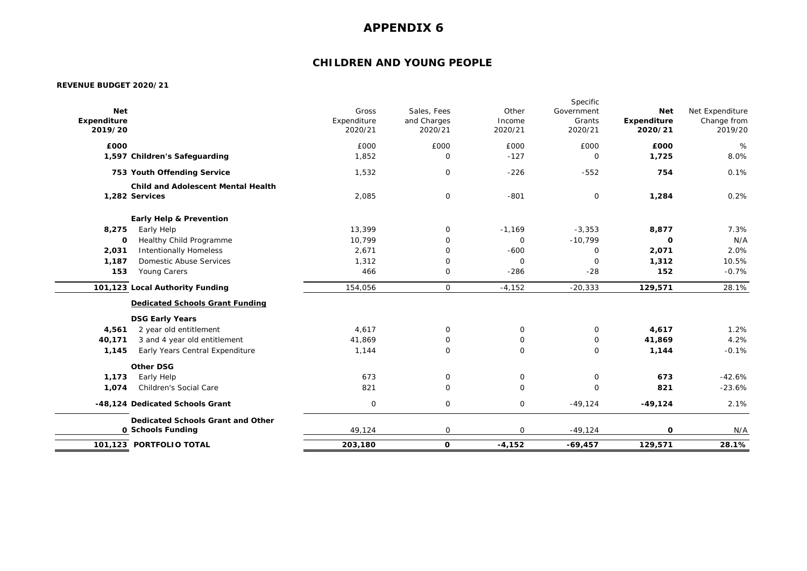## **CHILDREN AND YOUNG PEOPLE**

|                        | 101,123 PORTFOLIO TOTAL                                     | 203,180                | 0                      | $-4,152$          | $-69,457$              | 129,571                | 28.1%                  |
|------------------------|-------------------------------------------------------------|------------------------|------------------------|-------------------|------------------------|------------------------|------------------------|
|                        | Dedicated Schools Grant and Other<br>0 Schools Funding      | 49,124                 | $\mathbf 0$            | $\mathbf 0$       | $-49,124$              | 0                      | N/A                    |
|                        | -48,124 Dedicated Schools Grant                             | 0                      | $\mathbf 0$            | $\mathsf{O}$      | $-49,124$              | $-49,124$              | 2.1%                   |
| 1,074                  | Children's Social Care                                      | 821                    | $\mathbf 0$            | $\mathbf 0$       | $\mathbf 0$            | 821                    | $-23.6%$               |
| 1,173                  | Early Help                                                  | 673                    | $\mathbf 0$            | $\mathbf 0$       | $\mathsf O$            | 673                    | $-42.6%$               |
|                        | <b>Other DSG</b>                                            |                        |                        |                   |                        |                        |                        |
| 1,145                  | Early Years Central Expenditure                             | 1,144                  | $\mathbf 0$            | $\mathbf 0$       | $\mathbf 0$            | 1,144                  | $-0.1%$                |
| 40,171                 | 3 and 4 year old entitlement                                | 41,869                 | 0                      | 0                 | 0                      | 41,869                 | 4.2%                   |
| 4,561                  | <b>DSG Early Years</b><br>2 year old entitlement            | 4,617                  | $\mathbf 0$            | $\mathbf 0$       | $\mathbf 0$            | 4,617                  | 1.2%                   |
|                        | <b>Dedicated Schools Grant Funding</b>                      |                        |                        |                   |                        |                        |                        |
|                        | 101,123 Local Authority Funding                             | 154,056                | 0                      | $-4,152$          | $-20,333$              | 129,571                | 28.1%                  |
| 153                    | Young Carers                                                | 466                    | 0                      | $-286$            | $-28$                  | 152                    | $-0.7%$                |
| 1,187                  | Domestic Abuse Services                                     | 1,312                  | $\mathbf 0$            | $\mathbf 0$       | $\mathbf 0$            | 1,312                  | 10.5%                  |
| 2,031                  | <b>Intentionally Homeless</b>                               | 2,671                  | $\mathbf 0$            | $-600$            | $\mathsf{O}$           | 2,071                  | 2.0%                   |
| 0                      | Healthy Child Programme                                     | 10,799                 | $\mathbf 0$            | $\mathbf 0$       | $-10,799$              | $\mathbf{o}$           | N/A                    |
| 8,275                  | <b>Early Help &amp; Prevention</b><br>Early Help            | 13,399                 | $\mathbf 0$            | $-1,169$          | $-3,353$               | 8,877                  | 7.3%                   |
|                        | <b>Child and Adolescent Mental Health</b><br>1.282 Services | 2,085                  | $\mathbf 0$            | $-801$            | $\mathbf 0$            | 1,284                  | 0.2%                   |
|                        | 753 Youth Offending Service                                 | 1,532                  | $\mathsf{O}\xspace$    | $-226$            | $-552$                 | 754                    | 0.1%                   |
|                        | 1,597 Children's Safeguarding                               | 1,852                  | $\mathsf{O}$           | $-127$            | $\mathsf{O}$           | 1,725                  | 8.0%                   |
| £000                   |                                                             | £000                   | £000                   | £000              | £000                   | £000                   | %                      |
| Expenditure<br>2019/20 |                                                             | Expenditure<br>2020/21 | and Charges<br>2020/21 | Income<br>2020/21 | Grants<br>2020/21      | Expenditure<br>2020/21 | Change from<br>2019/20 |
| <b>Net</b>             |                                                             | Gross                  | Sales, Fees            | Other             | Specific<br>Government | <b>Net</b>             | Net Expenditure        |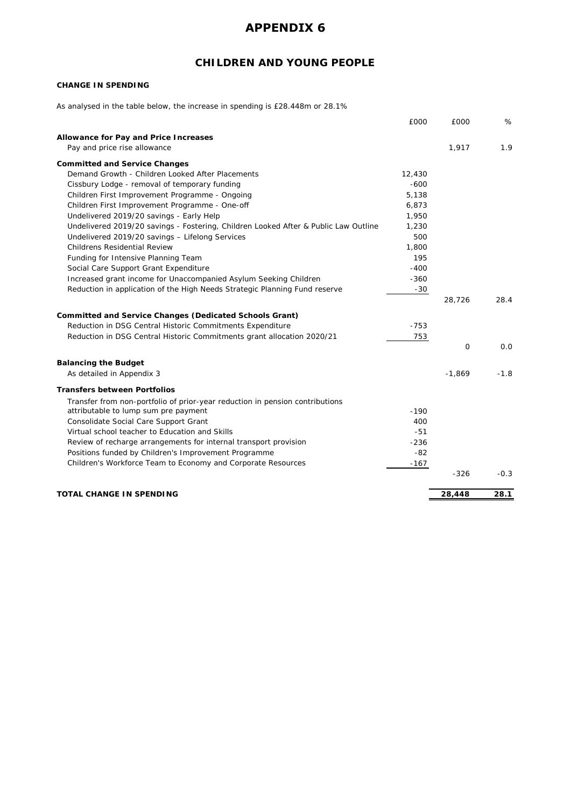# **CHILDREN AND YOUNG PEOPLE**

### **CHANGE IN SPENDING**

As analysed in the table below, the increase in spending is £28.448m or 28.1%

|                                                                                     | £000   | £000     | %      |
|-------------------------------------------------------------------------------------|--------|----------|--------|
| Allowance for Pay and Price Increases                                               |        |          |        |
| Pay and price rise allowance                                                        |        | 1,917    | 1.9    |
| <b>Committed and Service Changes</b>                                                |        |          |        |
| Demand Growth - Children Looked After Placements                                    | 12,430 |          |        |
| Cissbury Lodge - removal of temporary funding                                       | $-600$ |          |        |
| Children First Improvement Programme - Ongoing                                      | 5,138  |          |        |
| Children First Improvement Programme - One-off                                      | 6,873  |          |        |
| Undelivered 2019/20 savings - Early Help                                            | 1,950  |          |        |
| Undelivered 2019/20 savings - Fostering, Children Looked After & Public Law Outline | 1,230  |          |        |
| Undelivered 2019/20 savings - Lifelong Services                                     | 500    |          |        |
| <b>Childrens Residential Review</b>                                                 | 1,800  |          |        |
| Funding for Intensive Planning Team                                                 | 195    |          |        |
| Social Care Support Grant Expenditure                                               | $-400$ |          |        |
| Increased grant income for Unaccompanied Asylum Seeking Children                    | $-360$ |          |        |
| Reduction in application of the High Needs Strategic Planning Fund reserve          | $-30$  |          |        |
|                                                                                     |        | 28,726   | 28.4   |
|                                                                                     |        |          |        |
| <b>Committed and Service Changes (Dedicated Schools Grant)</b>                      |        |          |        |
| Reduction in DSG Central Historic Commitments Expenditure                           | $-753$ |          |        |
| Reduction in DSG Central Historic Commitments grant allocation 2020/21              | 753    |          |        |
|                                                                                     |        | $\Omega$ | 0.0    |
| <b>Balancing the Budget</b>                                                         |        |          |        |
| As detailed in Appendix 3                                                           |        | $-1,869$ | $-1.8$ |
|                                                                                     |        |          |        |
| <b>Transfers between Portfolios</b>                                                 |        |          |        |
| Transfer from non-portfolio of prior-year reduction in pension contributions        |        |          |        |
| attributable to lump sum pre payment                                                | $-190$ |          |        |
| Consolidate Social Care Support Grant                                               | 400    |          |        |
| Virtual school teacher to Education and Skills                                      | $-51$  |          |        |
| Review of recharge arrangements for internal transport provision                    | $-236$ |          |        |
| Positions funded by Children's Improvement Programme                                | $-82$  |          |        |
| Children's Workforce Team to Economy and Corporate Resources                        | $-167$ |          |        |
|                                                                                     |        | $-326$   | $-0.3$ |
| TOTAL CHANGE IN SPENDING                                                            |        | 28,448   | 28.1   |
|                                                                                     |        |          |        |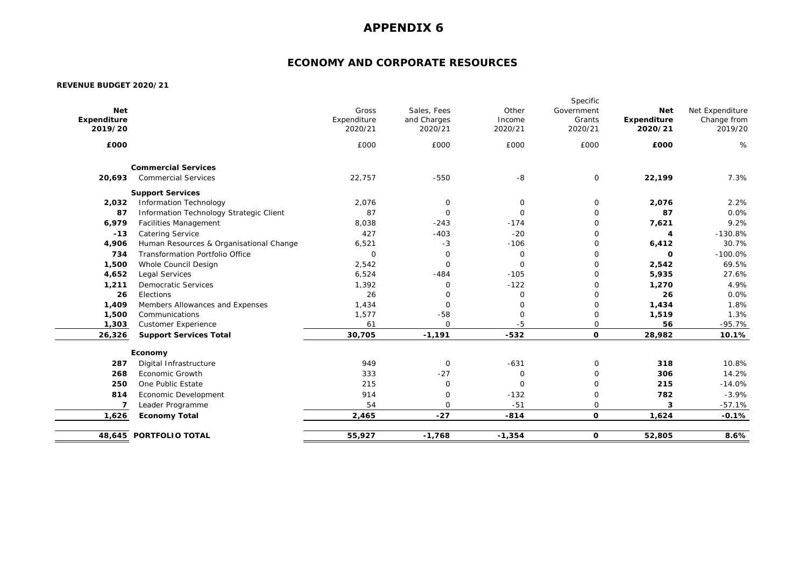## **ECONOMY AND CORPORATE RESOURCES**

| £000   |                                         | 2020/21<br>£000 | and Charges<br>2020/21<br>£000 | Income<br>2020/21<br>£000 | Grants<br>2020/21<br>£000 | Expenditure<br>2020/21<br>£000 | Change from<br>2019/20<br>$\%$ |
|--------|-----------------------------------------|-----------------|--------------------------------|---------------------------|---------------------------|--------------------------------|--------------------------------|
|        |                                         |                 |                                |                           |                           |                                |                                |
|        | <b>Commercial Services</b>              |                 |                                |                           |                           |                                |                                |
| 20,693 | <b>Commercial Services</b>              | 22,757          | $-550$                         | $-8$                      | $\mathbf 0$               | 22,199                         | 7.3%                           |
|        | <b>Support Services</b>                 |                 |                                |                           |                           |                                |                                |
| 2,032  | <b>Information Technology</b>           | 2,076           | $\mathsf{O}$                   | $\mathsf O$               | $\mathsf{O}$              | 2,076                          | 2.2%                           |
| 87     | Information Technology Strategic Client | 87              | $\mathbf 0$                    | $\mathbf 0$               | $\mathbf 0$               | 87                             | 0.0%                           |
| 6,979  | <b>Facilities Management</b>            | 8,038           | $-243$                         | $-174$                    | $\mathbf 0$               | 7,621                          | 9.2%                           |
| $-13$  | <b>Catering Service</b>                 | 427             | $-403$                         | $-20$                     | $\mathbf 0$               | 4                              | $-130.8%$                      |
| 4,906  | Human Resources & Organisational Change | 6,521           | $-3$                           | $-106$                    | $\mathbf 0$               | 6,412                          | 30.7%                          |
| 734    | <b>Transformation Portfolio Office</b>  | $\mathbf 0$     | $\mathsf O$                    | $\mathsf{O}\xspace$       | $\mathbf 0$               | O                              | $-100.0%$                      |
| 1,500  | Whole Council Design                    | 2,542           | $\mathbf 0$                    | $\mathbf 0$               | $\mathbf 0$               | 2,542                          | 69.5%                          |
| 4,652  | Legal Services                          | 6,524           | $-484$                         | $-105$                    | $\mathbf 0$               | 5,935                          | 27.6%                          |
| 1,211  | <b>Democratic Services</b>              | 1,392           | $\mathbf 0$                    | $-122$                    | $\mathbf 0$               | 1,270                          | 4.9%                           |
| 26     | Elections                               | 26              | $\mathbf 0$                    | $\mathbf 0$               | $\mathbf 0$               | 26                             | 0.0%                           |
| 1,409  | Members Allowances and Expenses         | 1,434           | $\mathbf 0$                    | $\mathbf 0$               | $\mathbf 0$               | 1,434                          | 1.8%                           |
| 1,500  | Communications                          | 1,577           | $-58$                          | $\mathbf 0$               | $\mathbf 0$               | 1,519                          | 1.3%                           |
| 1,303  | <b>Customer Experience</b>              | 61              | $\mathbf 0$                    | $-5$                      | $\mathbf 0$               | 56                             | $-95.7%$                       |
| 26,326 | <b>Support Services Total</b>           | 30,705          | $-1,191$                       | $-532$                    | 0                         | 28,982                         | 10.1%                          |
|        | Economy                                 |                 |                                |                           |                           |                                |                                |
| 287    | Digital Infrastructure                  | 949             | $\mathbf 0$                    | $-631$                    | $\mathbf 0$               | 318                            | 10.8%                          |
| 268    | <b>Economic Growth</b>                  | 333             | $-27$                          | $\mathbf 0$               | $\mathbf 0$               | 306                            | 14.2%                          |
| 250    | One Public Estate                       | 215             | $\mathbf 0$                    | $\mathbf 0$               | $\mathbf 0$               | 215                            | $-14.0%$                       |
| 814    | Economic Development                    | 914             | $\mathbf 0$                    | $-132$                    | $\mathbf 0$               | 782                            | $-3.9%$                        |
| 7      | Leader Programme                        | 54              | $\mathbf 0$                    | $-51$                     | $\mathbf 0$               | 3                              | $-57.1%$                       |
| 1,626  | <b>Economy Total</b>                    | 2,465           | $-27$                          | $-814$                    | $\mathbf{o}$              | 1,624                          | $-0.1%$                        |
|        | 48,645 PORTFOLIO TOTAL                  | 55,927          | $-1,768$                       | $-1,354$                  | 0                         | 52,805                         | 8.6%                           |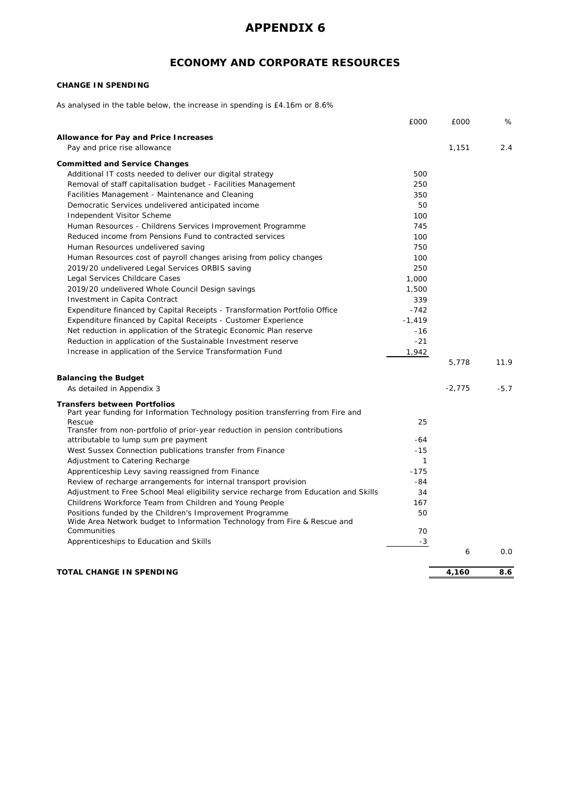## **ECONOMY AND CORPORATE RESOURCES**

### **CHANGE IN SPENDING**

As analysed in the table below, the increase in spending is £4.16m or 8.6%

|                                                                                                                                       | £000         | £000     | %      |
|---------------------------------------------------------------------------------------------------------------------------------------|--------------|----------|--------|
| Allowance for Pay and Price Increases                                                                                                 |              |          |        |
| Pay and price rise allowance                                                                                                          |              | 1,151    | 2.4    |
| <b>Committed and Service Changes</b>                                                                                                  |              |          |        |
| Additional IT costs needed to deliver our digital strategy                                                                            | 500          |          |        |
| Removal of staff capitalisation budget - Facilities Management                                                                        | 250          |          |        |
| Facilities Management - Maintenance and Cleaning                                                                                      | 350          |          |        |
| Democratic Services undelivered anticipated income                                                                                    | 50           |          |        |
| Independent Visitor Scheme                                                                                                            | 100          |          |        |
|                                                                                                                                       |              |          |        |
| Human Resources - Childrens Services Improvement Programme                                                                            | 745          |          |        |
| Reduced income from Pensions Fund to contracted services                                                                              | 100          |          |        |
| Human Resources undelivered saving                                                                                                    | 750          |          |        |
| Human Resources cost of payroll changes arising from policy changes                                                                   | 100          |          |        |
| 2019/20 undelivered Legal Services ORBIS saving                                                                                       | 250          |          |        |
| Legal Services Childcare Cases                                                                                                        | 1,000        |          |        |
| 2019/20 undelivered Whole Council Design savings                                                                                      | 1,500        |          |        |
| Investment in Capita Contract                                                                                                         | 339          |          |        |
| Expenditure financed by Capital Receipts - Transformation Portfolio Office                                                            | $-742$       |          |        |
| Expenditure financed by Capital Receipts - Customer Experience                                                                        | $-1,419$     |          |        |
| Net reduction in application of the Strategic Economic Plan reserve                                                                   | $-16$        |          |        |
| Reduction in application of the Sustainable Investment reserve                                                                        | $-21$        |          |        |
| Increase in application of the Service Transformation Fund                                                                            | 1,942        |          |        |
|                                                                                                                                       |              | 5.778    | 11.9   |
| <b>Balancing the Budget</b>                                                                                                           |              |          |        |
| As detailed in Appendix 3                                                                                                             |              | $-2,775$ | $-5.7$ |
| <b>Transfers between Portfolios</b>                                                                                                   |              |          |        |
| Part year funding for Information Technology position transferring from Fire and                                                      |              |          |        |
| Rescue                                                                                                                                | 25           |          |        |
| Transfer from non-portfolio of prior-year reduction in pension contributions                                                          |              |          |        |
| attributable to lump sum pre payment                                                                                                  | -64          |          |        |
| West Sussex Connection publications transfer from Finance                                                                             | $-15$        |          |        |
| Adjustment to Catering Recharge                                                                                                       | $\mathbf{1}$ |          |        |
| Apprenticeship Levy saving reassigned from Finance                                                                                    | $-175$       |          |        |
| Review of recharge arrangements for internal transport provision                                                                      | $-84$        |          |        |
| Adjustment to Free School Meal eligibility service recharge from Education and Skills                                                 | 34           |          |        |
| Childrens Workforce Team from Children and Young People                                                                               | 167          |          |        |
| Positions funded by the Children's Improvement Programme<br>Wide Area Network budget to Information Technology from Fire & Rescue and | 50           |          |        |
| Communities                                                                                                                           | 70           |          |        |
| Apprenticeships to Education and Skills                                                                                               | $-3$         |          |        |
|                                                                                                                                       |              | 6        | 0.0    |
|                                                                                                                                       |              |          |        |
| TOTAL CHANGE IN SPENDING                                                                                                              |              | 4,160    | 8.6    |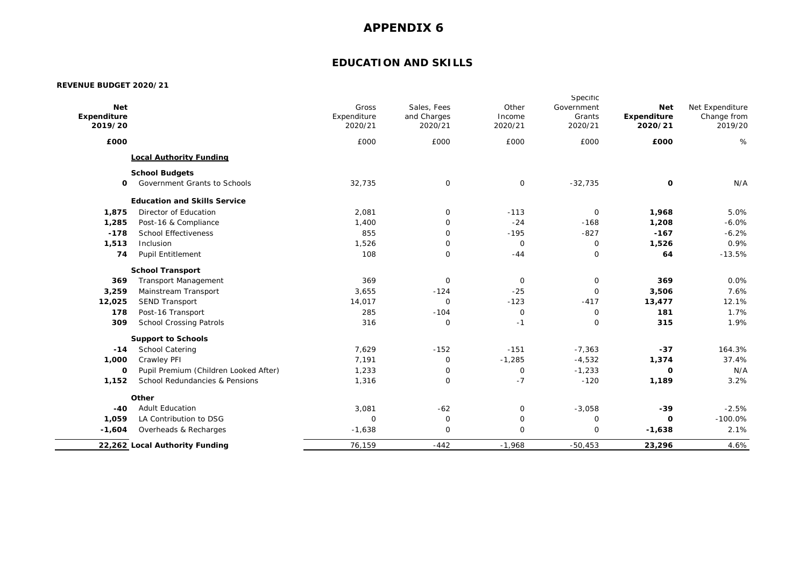## **EDUCATION AND SKILLS**

| <b>Net</b><br>Expenditure<br>2019/20 |                                       | Gross<br>Expenditure<br>2020/21 | Sales, Fees<br>and Charges<br>2020/21 | Other<br>Income<br>2020/21 | Specific<br>Government<br>Grants<br>2020/21 | <b>Net</b><br>Expenditure<br>2020/21 | Net Expenditure<br>Change from<br>2019/20 |
|--------------------------------------|---------------------------------------|---------------------------------|---------------------------------------|----------------------------|---------------------------------------------|--------------------------------------|-------------------------------------------|
| £000                                 |                                       | £000                            | £000                                  | £000                       | £000                                        | £000                                 | %                                         |
|                                      | <b>Local Authority Funding</b>        |                                 |                                       |                            |                                             |                                      |                                           |
|                                      | <b>School Budgets</b>                 |                                 |                                       |                            |                                             |                                      |                                           |
| 0                                    | Government Grants to Schools          | 32,735                          | 0                                     | 0                          | $-32,735$                                   | $\mathbf 0$                          | N/A                                       |
|                                      | <b>Education and Skills Service</b>   |                                 |                                       |                            |                                             |                                      |                                           |
| 1,875                                | Director of Education                 | 2,081                           | 0                                     | $-113$                     | 0                                           | 1,968                                | 5.0%                                      |
| 1,285                                | Post-16 & Compliance                  | 1,400                           | 0                                     | $-24$                      | $-168$                                      | 1,208                                | $-6.0%$                                   |
| $-178$                               | <b>School Effectiveness</b>           | 855                             | $\mathbf{O}$                          | $-195$                     | $-827$                                      | $-167$                               | $-6.2%$                                   |
| 1,513                                | Inclusion                             | 1,526                           | 0                                     | 0                          | 0                                           | 1,526                                | 0.9%                                      |
| 74                                   | <b>Pupil Entitlement</b>              | 108                             | $\mathbf 0$                           | $-44$                      | $\mathbf 0$                                 | 64                                   | $-13.5%$                                  |
|                                      | <b>School Transport</b>               |                                 |                                       |                            |                                             |                                      |                                           |
| 369                                  | <b>Transport Management</b>           | 369                             | $\mathbf 0$                           | $\mathbf 0$                | 0                                           | 369                                  | 0.0%                                      |
| 3,259                                | Mainstream Transport                  | 3,655                           | $-124$                                | $-25$                      | 0                                           | 3,506                                | 7.6%                                      |
| 12,025                               | <b>SEND Transport</b>                 | 14,017                          | $\mathbf 0$                           | $-123$                     | $-417$                                      | 13,477                               | 12.1%                                     |
| 178                                  | Post-16 Transport                     | 285                             | $-104$                                | 0                          | 0                                           | 181                                  | 1.7%                                      |
| 309                                  | <b>School Crossing Patrols</b>        | 316                             | 0                                     | $-1$                       | $\circ$                                     | 315                                  | 1.9%                                      |
|                                      | <b>Support to Schools</b>             |                                 |                                       |                            |                                             |                                      |                                           |
| $-14$                                | <b>School Catering</b>                | 7,629                           | $-152$                                | $-151$                     | $-7,363$                                    | $-37$                                | 164.3%                                    |
| 1,000                                | Crawley PFI                           | 7,191                           | 0                                     | $-1,285$                   | $-4,532$                                    | 1,374                                | 37.4%                                     |
| 0                                    | Pupil Premium (Children Looked After) | 1,233                           | 0                                     | $\mathbf 0$                | $-1,233$                                    | $\mathbf 0$                          | N/A                                       |
| 1,152                                | School Redundancies & Pensions        | 1,316                           | 0                                     | $-7$                       | $-120$                                      | 1,189                                | 3.2%                                      |
|                                      | Other                                 |                                 |                                       |                            |                                             |                                      |                                           |
| $-40$                                | <b>Adult Education</b>                | 3,081                           | $-62$                                 | 0                          | $-3,058$                                    | $-39$                                | $-2.5%$                                   |
| 1,059                                | LA Contribution to DSG                | 0                               | $\mathbf 0$                           | 0                          | 0                                           | $\mathbf{o}$                         | $-100.0%$                                 |
| $-1,604$                             | Overheads & Recharges                 | $-1,638$                        | 0                                     | 0                          | $\mathbf 0$                                 | $-1,638$                             | 2.1%                                      |
|                                      | 22,262 Local Authority Funding        | 76,159                          | $-442$                                | $-1,968$                   | $-50,453$                                   | 23,296                               | 4.6%                                      |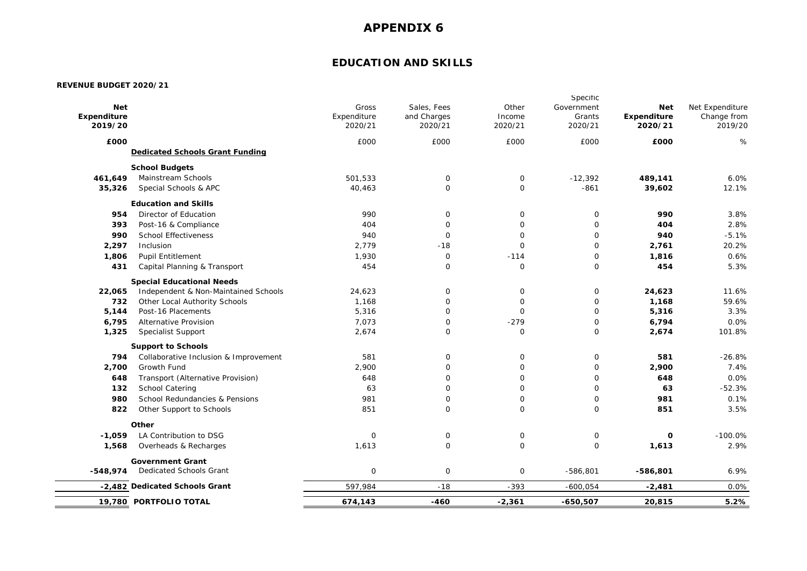## **EDUCATION AND SKILLS**

|             | 19,780 PORTFOLIO TOTAL                                             | 674,143     | $-460$      | $-2,361$     | $-650,507$   | 20,815      | 5.2%                           |
|-------------|--------------------------------------------------------------------|-------------|-------------|--------------|--------------|-------------|--------------------------------|
|             | -2,482 Dedicated Schools Grant                                     | 597,984     | $-18$       | $-393$       | $-600,054$   | $-2,481$    | 0.0%                           |
| $-548,974$  | <b>Government Grant</b><br><b>Dedicated Schools Grant</b>          | $\mathsf O$ | $\mathsf O$ | $\mathsf O$  | $-586,801$   | $-586,801$  | 6.9%                           |
| 1,568       | Overheads & Recharges                                              | 1,613       | $\mathbf 0$ | $\mathbf 0$  | $\mathbf 0$  | 1,613       | 2.9%                           |
| $-1.059$    | Other<br>LA Contribution to DSG                                    | $\mathbf 0$ | $\mathbf 0$ | $\mathbf 0$  | $\mathbf 0$  | $\mathbf 0$ | $-100.0%$                      |
|             |                                                                    |             |             |              |              |             |                                |
| 822         | Other Support to Schools                                           | 851         | $\mathbf 0$ | $\mathbf 0$  | $\mathbf 0$  | 851         | 3.5%                           |
| 980         | School Redundancies & Pensions                                     | 981         | $\mathsf O$ | $\mathsf O$  | $\mathbf 0$  | 981         | 0.1%                           |
| 132         | School Catering                                                    | 63          | $\mathbf 0$ | $\mathbf 0$  | $\mathsf{O}$ | 63          | $-52.3%$                       |
| 648         | Transport (Alternative Provision)                                  | 648         | $\mathbf 0$ | $\mathbf 0$  | $\mathbf 0$  | 648         | 0.0%                           |
| 2,700       | Growth Fund                                                        | 2,900       | 0           | $\mathbf 0$  | $\mathbf 0$  | 2,900       | 7.4%                           |
| 794         | <b>Support to Schools</b><br>Collaborative Inclusion & Improvement | 581         | $\mathbf 0$ | 0            | $\mathbf 0$  | 581         | $-26.8%$                       |
| 1,325       | <b>Specialist Support</b>                                          | 2,674       | $\mathbf 0$ | $\mathbf 0$  | $\mathbf 0$  | 2,674       | 101.8%                         |
| 6,795       | Alternative Provision                                              | 7,073       | $\mathbf 0$ | $-279$       | $\mathbf 0$  | 6,794       | 0.0%                           |
| 5,144       | Post-16 Placements                                                 | 5,316       | $\mathbf 0$ | $\mathbf 0$  | $\mathbf 0$  | 5,316       | 3.3%                           |
| 732         | Other Local Authority Schools                                      | 1,168       | $\mathbf 0$ | $\mathbf 0$  | $\mathbf 0$  | 1,168       | 59.6%                          |
| 22,065      | Independent & Non-Maintained Schools                               | 24,623      | $\mathbf 0$ | $\mathbf 0$  | $\mathbf 0$  | 24,623      | 11.6%                          |
|             | <b>Special Educational Needs</b>                                   |             |             |              |              |             |                                |
| 431         | Capital Planning & Transport                                       | 454         | $\mathbf 0$ | $\mathbf 0$  | $\mathbf 0$  | 454         | 5.3%                           |
| 1,806       | <b>Pupil Entitlement</b>                                           | 1,930       | $\mathsf O$ | $-114$       | $\mathbf 0$  | 1,816       | 0.6%                           |
| 2,297       | Inclusion                                                          | 2,779       | $-18$       | $\mathbf 0$  | $\mathbf 0$  | 2,761       | 20.2%                          |
| 990         | <b>School Effectiveness</b>                                        | 940         | $\mathsf O$ | $\mathbf 0$  | 0            | 940         | $-5.1%$                        |
| 393         | Post-16 & Compliance                                               | 404         | $\mathsf O$ | $\mathsf{O}$ | 0            | 404         | 2.8%                           |
| 954         | Director of Education                                              | 990         | 0           | 0            | $\mathbf 0$  | 990         | 3.8%                           |
|             | <b>Education and Skills</b>                                        |             |             |              |              |             |                                |
| 35,326      | Special Schools & APC                                              | 40,463      | $\mathsf O$ | $\mathbf 0$  | $-861$       | 39,602      | 12.1%                          |
| 461,649     | <b>School Budgets</b><br>Mainstream Schools                        | 501,533     | 0           | $\mathsf{O}$ | $-12,392$    | 489,141     | 6.0%                           |
|             | <b>Dedicated Schools Grant Funding</b>                             |             |             |              |              |             |                                |
| £000        |                                                                    | £000        | £000        | £000         | £000         | £000        | %                              |
| 2019/20     |                                                                    | 2020/21     | 2020/21     | 2020/21      | 2020/21      | 2020/21     | 2019/20                        |
| Expenditure |                                                                    | Expenditure | and Charges | Income       | Grants       | Expenditure | Net Expenditure<br>Change from |
| <b>Net</b>  |                                                                    | Gross       | Sales, Fees | Other        | Government   | <b>Net</b>  |                                |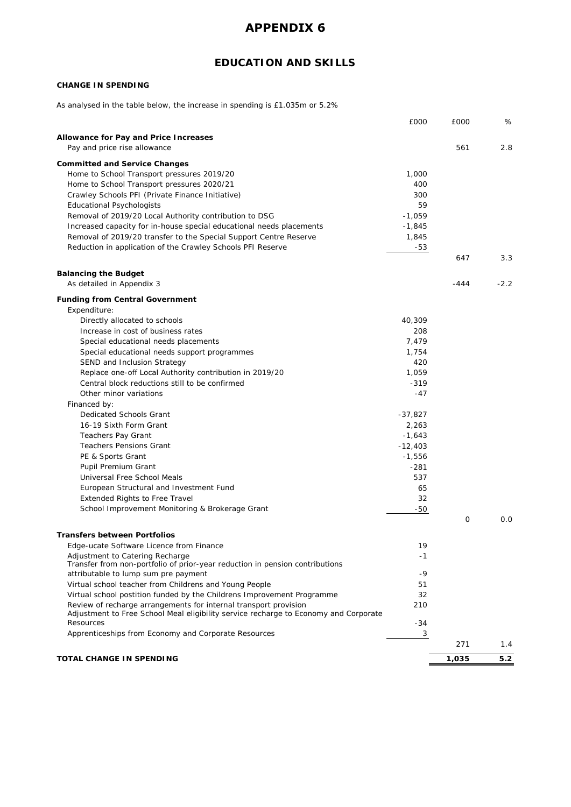# **EDUCATION AND SKILLS**

### **CHANGE IN SPENDING**

As analysed in the table below, the increase in spending is £1.035m or 5.2%

|                                                                                      | £000      | £000  | %      |
|--------------------------------------------------------------------------------------|-----------|-------|--------|
|                                                                                      |           |       |        |
| Allowance for Pay and Price Increases                                                |           |       |        |
| Pay and price rise allowance                                                         |           | 561   | 2.8    |
| <b>Committed and Service Changes</b>                                                 |           |       |        |
| Home to School Transport pressures 2019/20                                           | 1,000     |       |        |
| Home to School Transport pressures 2020/21                                           | 400       |       |        |
| Crawley Schools PFI (Private Finance Initiative)                                     | 300       |       |        |
| <b>Educational Psychologists</b>                                                     | 59        |       |        |
| Removal of 2019/20 Local Authority contribution to DSG                               | $-1,059$  |       |        |
| Increased capacity for in-house special educational needs placements                 | $-1,845$  |       |        |
| Removal of 2019/20 transfer to the Special Support Centre Reserve                    | 1,845     |       |        |
| Reduction in application of the Crawley Schools PFI Reserve                          | -53       |       |        |
|                                                                                      |           | 647   | 3.3    |
|                                                                                      |           |       |        |
| <b>Balancing the Budget</b>                                                          |           |       |        |
| As detailed in Appendix 3                                                            |           | -444  | $-2.2$ |
| <b>Funding from Central Government</b>                                               |           |       |        |
| Expenditure:                                                                         |           |       |        |
| Directly allocated to schools                                                        | 40,309    |       |        |
| Increase in cost of business rates                                                   | 208       |       |        |
| Special educational needs placements                                                 | 7,479     |       |        |
| Special educational needs support programmes                                         | 1,754     |       |        |
| SEND and Inclusion Strategy                                                          | 420       |       |        |
| Replace one-off Local Authority contribution in 2019/20                              | 1,059     |       |        |
| Central block reductions still to be confirmed                                       | $-319$    |       |        |
| Other minor variations                                                               |           |       |        |
|                                                                                      | -47       |       |        |
| Financed by:                                                                         |           |       |        |
| Dedicated Schools Grant                                                              | $-37,827$ |       |        |
| 16-19 Sixth Form Grant                                                               | 2,263     |       |        |
| Teachers Pay Grant                                                                   | $-1,643$  |       |        |
| <b>Teachers Pensions Grant</b>                                                       | $-12,403$ |       |        |
| PE & Sports Grant                                                                    | $-1,556$  |       |        |
| Pupil Premium Grant                                                                  | $-281$    |       |        |
| Universal Free School Meals                                                          | 537       |       |        |
| European Structural and Investment Fund                                              | 65        |       |        |
| Extended Rights to Free Travel                                                       | 32        |       |        |
| School Improvement Monitoring & Brokerage Grant                                      | -50       |       |        |
|                                                                                      |           | 0     | 0.0    |
| <b>Transfers between Portfolios</b>                                                  |           |       |        |
| Edge-ucate Software Licence from Finance                                             | 19        |       |        |
| Adjustment to Catering Recharge                                                      | $-1$      |       |        |
| Transfer from non-portfolio of prior-year reduction in pension contributions         |           |       |        |
| attributable to lump sum pre payment                                                 | -9        |       |        |
| Virtual school teacher from Childrens and Young People                               | 51        |       |        |
| Virtual school postition funded by the Childrens Improvement Programme               | 32        |       |        |
| Review of recharge arrangements for internal transport provision                     | 210       |       |        |
| Adjustment to Free School Meal eligibility service recharge to Economy and Corporate |           |       |        |
| Resources                                                                            | -34       |       |        |
| Apprenticeships from Economy and Corporate Resources                                 | 3         |       |        |
|                                                                                      |           | 271   | 1.4    |
|                                                                                      |           |       |        |
| TOTAL CHANGE IN SPENDING                                                             |           | 1,035 | 5.2    |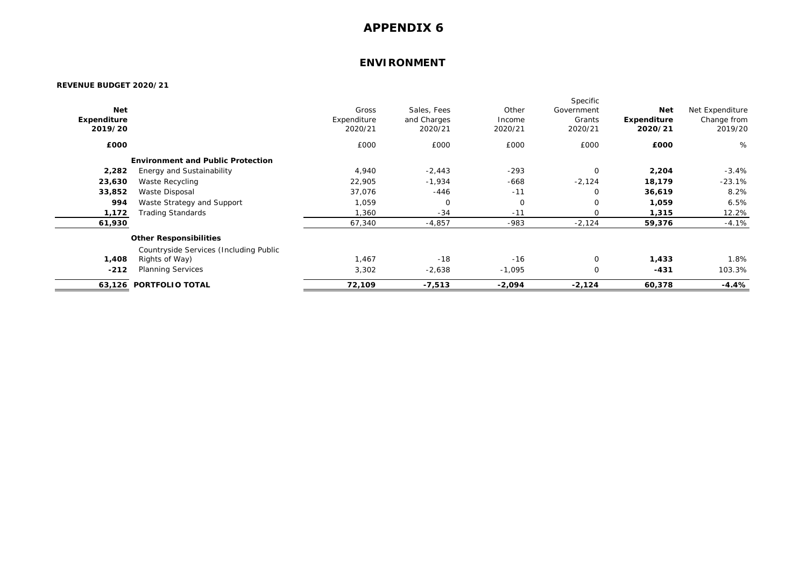### **ENVIRONMENT**

|             |                                          |             |             |             | Specific    |             |                 |
|-------------|------------------------------------------|-------------|-------------|-------------|-------------|-------------|-----------------|
| <b>Net</b>  |                                          | Gross       | Sales, Fees | Other       | Government  | <b>Net</b>  | Net Expenditure |
| Expenditure |                                          | Expenditure | and Charges | Income      | Grants      | Expenditure | Change from     |
| 2019/20     |                                          | 2020/21     | 2020/21     | 2020/21     | 2020/21     | 2020/21     | 2019/20         |
| £000        |                                          | £000        | £000        | £000        | £000        | £000        | %               |
|             | <b>Environment and Public Protection</b> |             |             |             |             |             |                 |
| 2,282       | Energy and Sustainability                | 4,940       | $-2,443$    | $-293$      | $\mathbf 0$ | 2,204       | $-3.4%$         |
| 23,630      | Waste Recycling                          | 22,905      | $-1,934$    | $-668$      | $-2,124$    | 18,179      | $-23.1\%$       |
| 33,852      | Waste Disposal                           | 37,076      | $-446$      | $-11$       | 0           | 36,619      | 8.2%            |
| 994         | Waste Strategy and Support               | 1,059       | $\mathbf 0$ | $\mathbf 0$ | 0           | 1,059       | 6.5%            |
| 1,172       | Trading Standards                        | 1,360       | $-34$       | $-11$       | $\Omega$    | 1,315       | 12.2%           |
| 61,930      |                                          | 67,340      | $-4,857$    | $-983$      | $-2,124$    | 59,376      | $-4.1%$         |
|             | <b>Other Responsibilities</b>            |             |             |             |             |             |                 |
|             | Countryside Services (Including Public   |             |             |             |             |             |                 |
| 1,408       | Rights of Way)                           | 1,467       | $-18$       | $-16$       | $\mathbf 0$ | 1,433       | 1.8%            |
| $-212$      | <b>Planning Services</b>                 | 3,302       | $-2,638$    | $-1,095$    | $\mathbf 0$ | $-431$      | 103.3%          |
|             | 63,126 PORTFOLIO TOTAL                   | 72,109      | -7,513      | $-2,094$    | $-2,124$    | 60,378      | $-4.4%$         |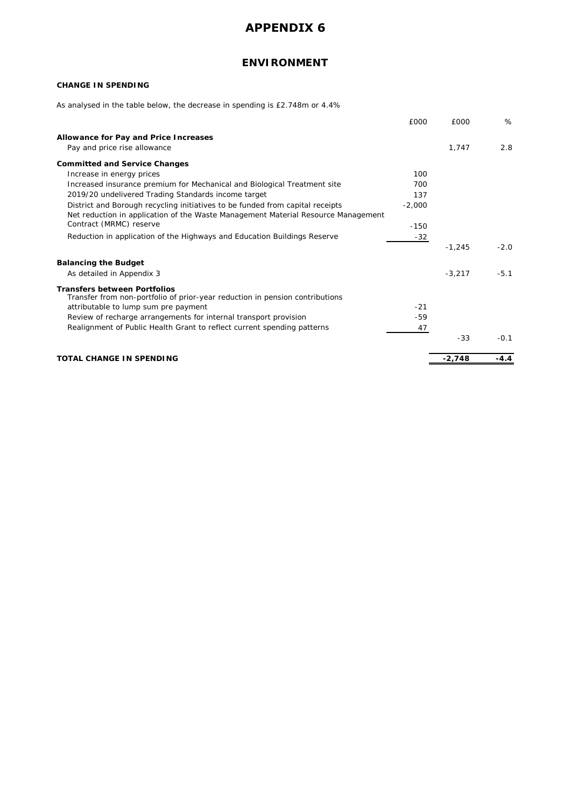## **ENVIRONMENT**

### **CHANGE IN SPENDING**

As analysed in the table below, the decrease in spending is £2.748m or 4.4%

|                                                                                                                     | £000     | £000     | %      |
|---------------------------------------------------------------------------------------------------------------------|----------|----------|--------|
| Allowance for Pay and Price Increases                                                                               |          |          |        |
| Pay and price rise allowance                                                                                        |          | 1,747    | 2.8    |
| <b>Committed and Service Changes</b>                                                                                |          |          |        |
| Increase in energy prices                                                                                           | 100      |          |        |
| Increased insurance premium for Mechanical and Biological Treatment site                                            | 700      |          |        |
| 2019/20 undelivered Trading Standards income target                                                                 | 137      |          |        |
| District and Borough recycling initiatives to be funded from capital receipts                                       | $-2,000$ |          |        |
| Net reduction in application of the Waste Management Material Resource Management                                   |          |          |        |
| Contract (MRMC) reserve                                                                                             | $-150$   |          |        |
| Reduction in application of the Highways and Education Buildings Reserve                                            | $-32$    |          |        |
|                                                                                                                     |          | $-1,245$ | $-2.0$ |
| <b>Balancing the Budget</b>                                                                                         |          |          |        |
| As detailed in Appendix 3                                                                                           |          | $-3.217$ | $-5.1$ |
| <b>Transfers between Portfolios</b><br>Transfer from non-portfolio of prior-year reduction in pension contributions |          |          |        |
| attributable to lump sum pre payment                                                                                | $-21$    |          |        |
| Review of recharge arrangements for internal transport provision                                                    | -59      |          |        |
| Realignment of Public Health Grant to reflect current spending patterns                                             | 47       |          |        |
|                                                                                                                     |          | $-33$    | $-0.1$ |
| <b>TOTAL CHANGE IN SPENDING</b>                                                                                     |          | $-2,748$ | $-4.4$ |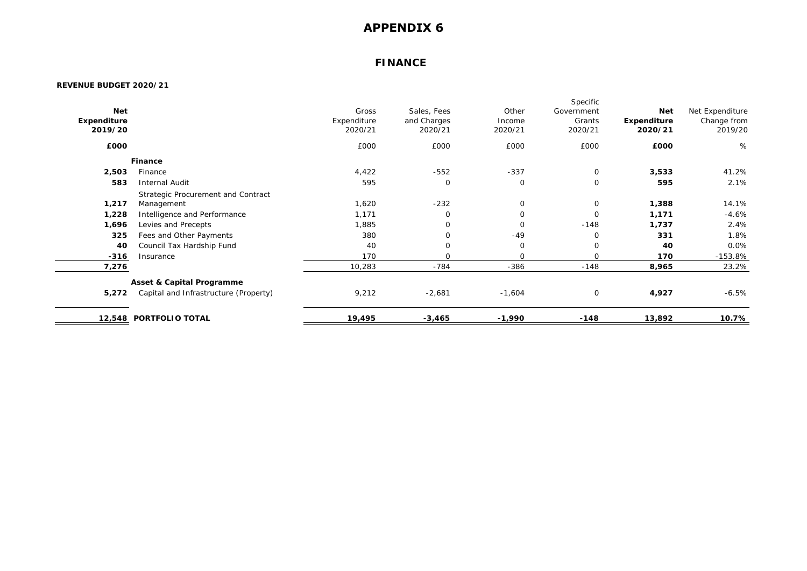### **FINANCE**

|             |                                       |             |             |             | Specific    |             |                 |
|-------------|---------------------------------------|-------------|-------------|-------------|-------------|-------------|-----------------|
| <b>Net</b>  |                                       | Gross       | Sales, Fees | Other       | Government  | <b>Net</b>  | Net Expenditure |
| Expenditure |                                       | Expenditure | and Charges | Income      | Grants      | Expenditure | Change from     |
| 2019/20     |                                       | 2020/21     | 2020/21     | 2020/21     | 2020/21     | 2020/21     | 2019/20         |
| £000        |                                       | £000        | £000        | £000        | £000        | £000        | %               |
|             | Finance                               |             |             |             |             |             |                 |
| 2,503       | Finance                               | 4,422       | $-552$      | $-337$      | $\mathbf 0$ | 3,533       | 41.2%           |
| 583         | <b>Internal Audit</b>                 | 595         | $\mathbf 0$ | $\mathbf 0$ | $\mathbf 0$ | 595         | 2.1%            |
|             | Strategic Procurement and Contract    |             |             |             |             |             |                 |
| 1,217       | Management                            | 1,620       | $-232$      | $\mathbf 0$ | $\mathbf 0$ | 1,388       | 14.1%           |
| 1,228       | Intelligence and Performance          | 1,171       | $\mathbf 0$ | $\mathbf 0$ | $\mathbf 0$ | 1,171       | $-4.6%$         |
| 1,696       | Levies and Precepts                   | 1,885       | 0           | $\mathbf 0$ | $-148$      | 1,737       | 2.4%            |
| 325         | Fees and Other Payments               | 380         | $\mathbf 0$ | $-49$       | $\mathbf 0$ | 331         | 1.8%            |
| 40          | Council Tax Hardship Fund             | 40          | $\mathbf 0$ | 0           | 0           | 40          | 0.0%            |
| $-316$      | Insurance                             | 170         | $\mathbf 0$ | $\mathbf 0$ | $\mathbf 0$ | 170         | $-153.8%$       |
| 7,276       |                                       | 10,283      | $-784$      | $-386$      | $-148$      | 8,965       | 23.2%           |
|             | <b>Asset &amp; Capital Programme</b>  |             |             |             |             |             |                 |
| 5,272       | Capital and Infrastructure (Property) | 9,212       | $-2,681$    | $-1,604$    | $\mathbf 0$ | 4,927       | $-6.5%$         |
|             | 12,548 PORTFOLIO TOTAL                | 19,495      | $-3,465$    | -1,990      | $-148$      | 13,892      | 10.7%           |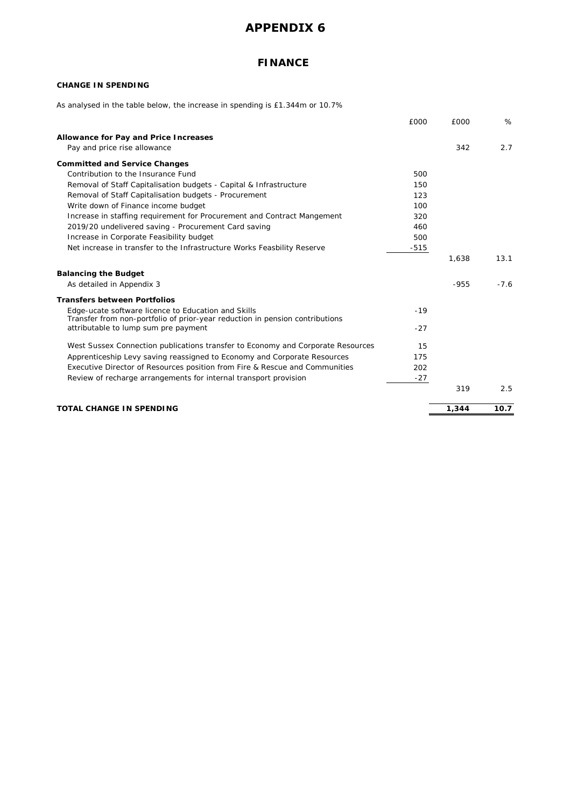## **FINANCE**

### **CHANGE IN SPENDING**

As analysed in the table below, the increase in spending is £1.344m or 10.7%

|                                                                                                                                     | £000   | £000   | %      |
|-------------------------------------------------------------------------------------------------------------------------------------|--------|--------|--------|
| Allowance for Pay and Price Increases                                                                                               |        |        |        |
| Pay and price rise allowance                                                                                                        |        | 342    | 2.7    |
| <b>Committed and Service Changes</b>                                                                                                |        |        |        |
| Contribution to the Insurance Fund                                                                                                  | 500    |        |        |
| Removal of Staff Capitalisation budgets - Capital & Infrastructure                                                                  | 150    |        |        |
| Removal of Staff Capitalisation budgets - Procurement                                                                               | 123    |        |        |
| Write down of Finance income budget                                                                                                 | 100    |        |        |
| Increase in staffing requirement for Procurement and Contract Mangement                                                             | 320    |        |        |
| 2019/20 undelivered saving - Procurement Card saving                                                                                | 460    |        |        |
| Increase in Corporate Feasibility budget                                                                                            | 500    |        |        |
| Net increase in transfer to the Infrastructure Works Feasbility Reserve                                                             | $-515$ |        |        |
|                                                                                                                                     |        | 1,638  | 13.1   |
| <b>Balancing the Budget</b>                                                                                                         |        |        |        |
| As detailed in Appendix 3                                                                                                           |        | $-955$ | $-7.6$ |
| <b>Transfers between Portfolios</b>                                                                                                 |        |        |        |
| Edge-ucate software licence to Education and Skills<br>Transfer from non-portfolio of prior-year reduction in pension contributions | $-19$  |        |        |
| attributable to lump sum pre payment                                                                                                | $-27$  |        |        |
| West Sussex Connection publications transfer to Economy and Corporate Resources                                                     | 15     |        |        |
| Apprenticeship Levy saving reassigned to Economy and Corporate Resources                                                            | 175    |        |        |
| Executive Director of Resources position from Fire & Rescue and Communities                                                         | 202    |        |        |
| Review of recharge arrangements for internal transport provision                                                                    | $-27$  |        |        |
|                                                                                                                                     |        | 319    | 2.5    |
| <b>TOTAL CHANGE IN SPENDING</b>                                                                                                     |        | 1,344  | 10.7   |
|                                                                                                                                     |        |        |        |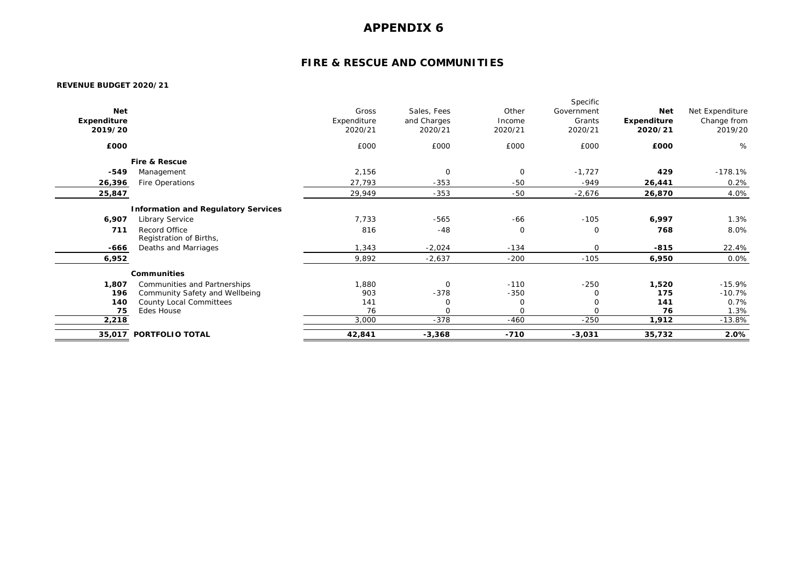## **FIRE & RESCUE AND COMMUNITIES**

|             |                                            |             |             |             | Specific    |             |                 |
|-------------|--------------------------------------------|-------------|-------------|-------------|-------------|-------------|-----------------|
| <b>Net</b>  |                                            | Gross       | Sales, Fees | Other       | Government  | Net         | Net Expenditure |
| Expenditure |                                            | Expenditure | and Charges | Income      | Grants      | Expenditure | Change from     |
| 2019/20     |                                            | 2020/21     | 2020/21     | 2020/21     | 2020/21     | 2020/21     | 2019/20         |
|             |                                            |             |             |             |             |             |                 |
| £000        |                                            | £000        | £000        | £000        | £000        | £000        | %               |
|             | <b>Fire &amp; Rescue</b>                   |             |             |             |             |             |                 |
| $-549$      | Management                                 | 2,156       | $\mathbf 0$ | $\mathbf 0$ | $-1,727$    | 429         | $-178.1%$       |
| 26,396      | Fire Operations                            | 27,793      | $-353$      | $-50$       | -949        | 26,441      | 0.2%            |
| 25,847      |                                            | 29,949      | $-353$      | $-50$       | $-2,676$    | 26,870      | 4.0%            |
|             | <b>Information and Regulatory Services</b> |             |             |             |             |             |                 |
| 6,907       | Library Service                            | 7,733       | $-565$      | $-66$       | $-105$      | 6,997       | 1.3%            |
| 711         | Record Office<br>Registration of Births,   | 816         | $-48$       | $\mathbf 0$ | 0           | 768         | 8.0%            |
| -666        | Deaths and Marriages                       | 1,343       | $-2,024$    | $-134$      | $\mathbf 0$ | $-815$      | 22.4%           |
| 6,952       |                                            | 9,892       | $-2,637$    | $-200$      | $-105$      | 6,950       | 0.0%            |
|             | <b>Communities</b>                         |             |             |             |             |             |                 |
| 1,807       | Communities and Partnerships               | 1,880       | $\mathbf 0$ | $-110$      | $-250$      | 1,520       | $-15.9%$        |
| 196         | Community Safety and Wellbeing             | 903         | $-378$      | $-350$      | 0           | 175         | $-10.7%$        |
| 140         | County Local Committees                    | 141         | 0           | 0           | $\mathbf 0$ | 141         | 0.7%            |
| 75          | Edes House                                 | 76          | $\mathbf 0$ | $\mathbf 0$ | $\circ$     | 76          | 1.3%            |
| 2,218       |                                            | 3,000       | $-378$      | $-460$      | $-250$      | 1,912       | $-13.8%$        |
|             | 35,017 PORTFOLIO TOTAL                     | 42,841      | $-3,368$    | $-710$      | $-3,031$    | 35,732      | 2.0%            |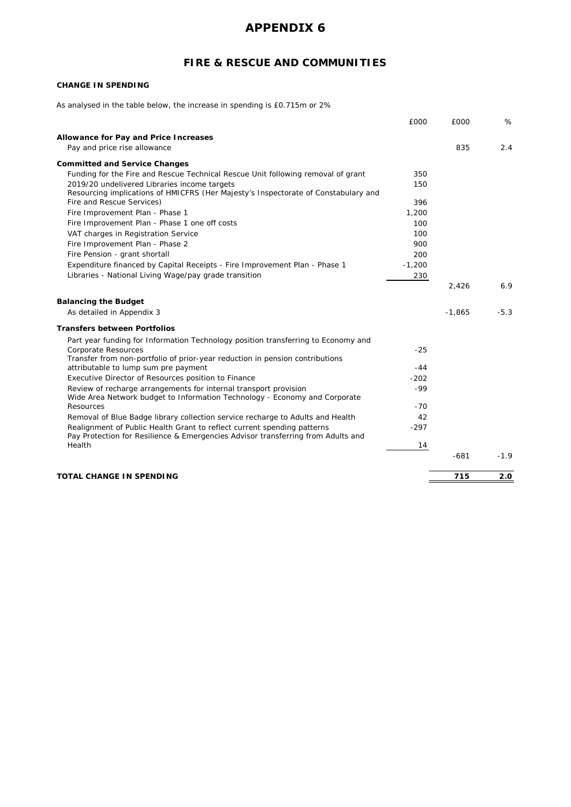## **FIRE & RESCUE AND COMMUNITIES**

### **CHANGE IN SPENDING**

As analysed in the table below, the increase in spending is £0.715m or 2%

|                                                                                         | £000     | £000     | %      |
|-----------------------------------------------------------------------------------------|----------|----------|--------|
| Allowance for Pay and Price Increases                                                   |          |          |        |
| Pay and price rise allowance                                                            |          | 835      | 2.4    |
| <b>Committed and Service Changes</b>                                                    |          |          |        |
| Funding for the Fire and Rescue Technical Rescue Unit following removal of grant        | 350      |          |        |
| 2019/20 undelivered Libraries income targets                                            | 150      |          |        |
| Resourcing implications of HMICFRS (Her Majesty's Inspectorate of Constabulary and      |          |          |        |
| Fire and Rescue Services)                                                               | 396      |          |        |
| Fire Improvement Plan - Phase 1                                                         | 1,200    |          |        |
| Fire Improvement Plan - Phase 1 one off costs                                           | 100      |          |        |
| VAT charges in Registration Service                                                     | 100      |          |        |
| Fire Improvement Plan - Phase 2                                                         | 900      |          |        |
| Fire Pension - grant shortall                                                           | 200      |          |        |
| Expenditure financed by Capital Receipts - Fire Improvement Plan - Phase 1              | $-1,200$ |          |        |
| Libraries - National Living Wage/pay grade transition                                   | 230      |          |        |
|                                                                                         |          | 2,426    | 6.9    |
| <b>Balancing the Budget</b>                                                             |          |          |        |
| As detailed in Appendix 3                                                               |          | $-1,865$ | $-5.3$ |
|                                                                                         |          |          |        |
| <b>Transfers between Portfolios</b>                                                     |          |          |        |
| Part year funding for Information Technology position transferring to Economy and       |          |          |        |
| Corporate Resources                                                                     | $-25$    |          |        |
| Transfer from non-portfolio of prior-year reduction in pension contributions            |          |          |        |
| attributable to lump sum pre payment                                                    | $-44$    |          |        |
| Executive Director of Resources position to Finance                                     | $-202$   |          |        |
| Review of recharge arrangements for internal transport provision                        | $-99$    |          |        |
| Wide Area Network budget to Information Technology - Economy and Corporate<br>Resources | $-70$    |          |        |
| Removal of Blue Badge library collection service recharge to Adults and Health          | 42       |          |        |
| Realignment of Public Health Grant to reflect current spending patterns                 | $-297$   |          |        |
| Pay Protection for Resilience & Emergencies Advisor transferring from Adults and        |          |          |        |
| Health                                                                                  | 14       |          |        |
|                                                                                         |          | $-681$   | $-1.9$ |
|                                                                                         |          |          |        |
| <b>TOTAL CHANGE IN SPENDING</b>                                                         |          | 715      | 2.0    |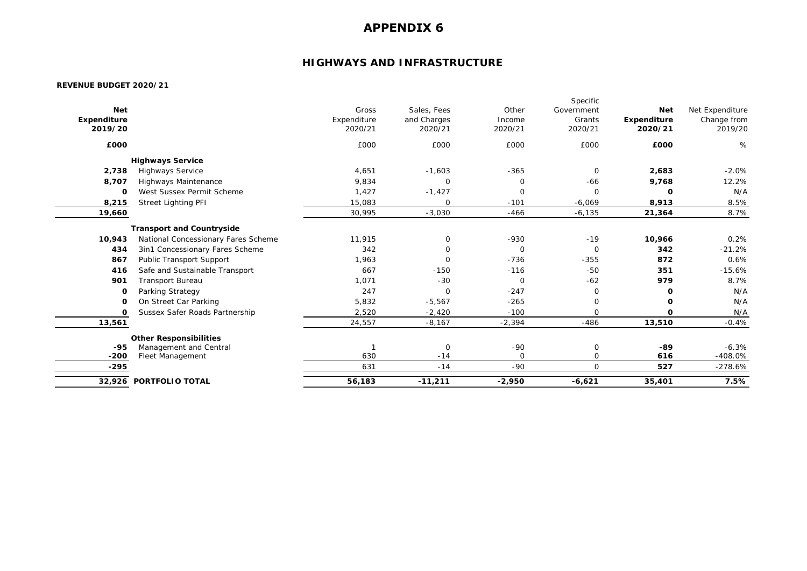## **HIGHWAYS AND INFRASTRUCTURE**

|             |                                     |             |             |             | Specific       |             |                 |
|-------------|-------------------------------------|-------------|-------------|-------------|----------------|-------------|-----------------|
| <b>Net</b>  |                                     | Gross       | Sales, Fees | Other       | Government     | <b>Net</b>  | Net Expenditure |
| Expenditure |                                     | Expenditure | and Charges | Income      | Grants         | Expenditure | Change from     |
| 2019/20     |                                     | 2020/21     | 2020/21     | 2020/21     | 2020/21        | 2020/21     | 2019/20         |
| £000        |                                     | £000        | £000        | £000        | £000           | £000        | %               |
|             | <b>Highways Service</b>             |             |             |             |                |             |                 |
| 2,738       | <b>Highways Service</b>             | 4,651       | $-1,603$    | $-365$      | $\mathbf 0$    | 2,683       | $-2.0%$         |
| 8,707       | Highways Maintenance                | 9,834       | 0           | $\mathbf 0$ | $-66$          | 9,768       | 12.2%           |
| 0           | West Sussex Permit Scheme           | 1,427       | $-1,427$    | $\mathbf 0$ | $\Omega$       | $\Omega$    | N/A             |
| 8,215       | <b>Street Lighting PFI</b>          | 15,083      | $\mathbf 0$ | $-101$      | $-6,069$       | 8,913       | 8.5%            |
| 19,660      |                                     | 30,995      | $-3,030$    | $-466$      | $-6,135$       | 21,364      | 8.7%            |
|             | <b>Transport and Countryside</b>    |             |             |             |                |             |                 |
| 10,943      | National Concessionary Fares Scheme | 11,915      | 0           | $-930$      | $-19$          | 10,966      | 0.2%            |
| 434         | 3in1 Concessionary Fares Scheme     | 342         | 0           | $\mathbf 0$ | $\overline{0}$ | 342         | $-21.2%$        |
| 867         | Public Transport Support            | 1,963       | $\mathbf 0$ | $-736$      | $-355$         | 872         | 0.6%            |
| 416         | Safe and Sustainable Transport      | 667         | $-150$      | $-116$      | $-50$          | 351         | $-15.6%$        |
| 901         | <b>Transport Bureau</b>             | 1.071       | $-30$       | $\mathbf 0$ | $-62$          | 979         | 8.7%            |
| $\Omega$    | Parking Strategy                    | 247         | $\mathbf 0$ | $-247$      | $\mathbf 0$    | 0           | N/A             |
| $\Omega$    | On Street Car Parking               | 5,832       | $-5,567$    | $-265$      | $\mathbf 0$    | $\Omega$    | N/A             |
| O           | Sussex Safer Roads Partnership      | 2,520       | $-2,420$    | $-100$      | $\mathbf 0$    | $\Omega$    | N/A             |
| 13,561      |                                     | 24,557      | $-8,167$    | $-2,394$    | $-486$         | 13,510      | $-0.4%$         |
|             | <b>Other Responsibilities</b>       |             |             |             |                |             |                 |
| $-95$       | Management and Central              |             | $\mathbf 0$ | $-90$       | 0              | -89         | $-6.3%$         |
| $-200$      | <b>Fleet Management</b>             | 630         | $-14$       | $\Omega$    | $\mathbf 0$    | 616         | $-408.0%$       |
| $-295$      |                                     | 631         | $-14$       | $-90$       | $\Omega$       | 527         | $-278.6%$       |
| 32,926      | <b>PORTFOLIO TOTAL</b>              | 56,183      | $-11,211$   | $-2,950$    | $-6,621$       | 35,401      | 7.5%            |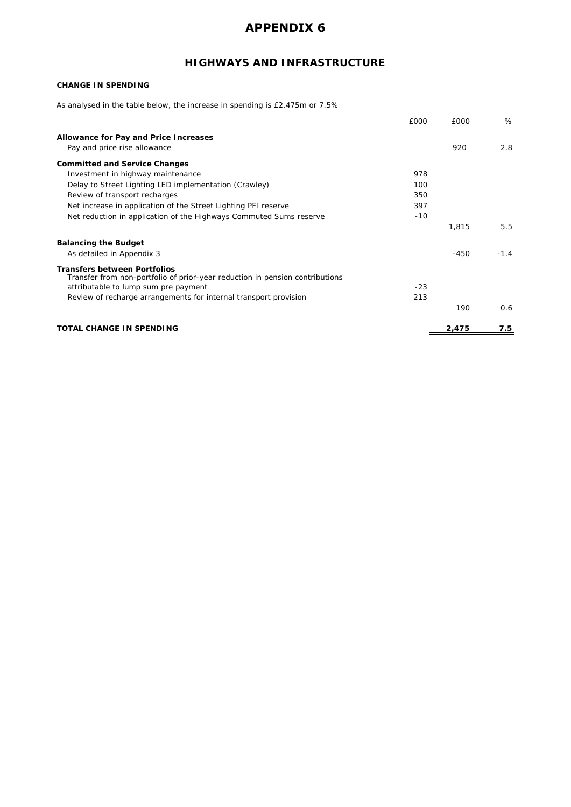## **HIGHWAYS AND INFRASTRUCTURE**

### **CHANGE IN SPENDING**

As analysed in the table below, the increase in spending is £2.475m or 7.5%

|                                                                                                                     | £000  | £000   | %      |
|---------------------------------------------------------------------------------------------------------------------|-------|--------|--------|
| Allowance for Pay and Price Increases                                                                               |       |        |        |
| Pay and price rise allowance                                                                                        |       | 920    | 2.8    |
| <b>Committed and Service Changes</b>                                                                                |       |        |        |
| Investment in highway maintenance                                                                                   | 978   |        |        |
| Delay to Street Lighting LED implementation (Crawley)                                                               | 100   |        |        |
| Review of transport recharges                                                                                       | 350   |        |        |
| Net increase in application of the Street Lighting PFI reserve                                                      | 397   |        |        |
| Net reduction in application of the Highways Commuted Sums reserve                                                  | $-10$ |        |        |
|                                                                                                                     |       | 1,815  | 5.5    |
| <b>Balancing the Budget</b>                                                                                         |       |        |        |
| As detailed in Appendix 3                                                                                           |       | $-450$ | $-1.4$ |
| <b>Transfers between Portfolios</b><br>Transfer from non-portfolio of prior-year reduction in pension contributions |       |        |        |
| attributable to lump sum pre payment                                                                                | $-23$ |        |        |
| Review of recharge arrangements for internal transport provision                                                    | 213   |        |        |
|                                                                                                                     |       | 190    | 0.6    |
| TOTAL CHANGE IN SPENDING                                                                                            |       | 2,475  | 7.5    |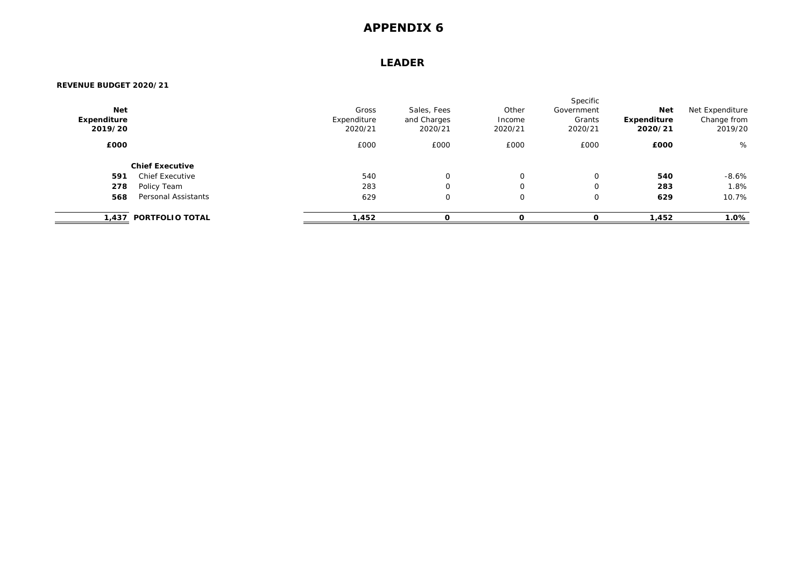### **LEADER**

| <b>Net</b><br>Expenditure<br>2019/20 |                        | Gross<br>Expenditure<br>2020/21 | Sales, Fees<br>and Charges<br>2020/21 | Other<br>Income<br>2020/21 | Specific<br>Government<br>Grants<br>2020/21 | <b>Net</b><br>Expenditure<br>2020/21 | Net Expenditure<br>Change from<br>2019/20 |
|--------------------------------------|------------------------|---------------------------------|---------------------------------------|----------------------------|---------------------------------------------|--------------------------------------|-------------------------------------------|
| £000                                 |                        | £000                            | £000                                  | £000                       | £000                                        | £000                                 | %                                         |
|                                      | <b>Chief Executive</b> |                                 |                                       |                            |                                             |                                      |                                           |
| 591                                  | <b>Chief Executive</b> | 540                             | $\mathbf 0$                           | $\mathbf 0$                | $\mathbf 0$                                 | 540                                  | $-8.6%$                                   |
| 278                                  | Policy Team            | 283                             | $\mathbf 0$                           | $\mathbf 0$                | 0                                           | 283                                  | 1.8%                                      |
| 568                                  | Personal Assistants    | 629                             | $\mathbf 0$                           | $\mathbf 0$                | $\mathbf 0$                                 | 629                                  | 10.7%                                     |
|                                      | 1,437 PORTFOLIO TOTAL  | 1,452                           | C                                     | C                          | C                                           | 1,452                                | 1.0%                                      |